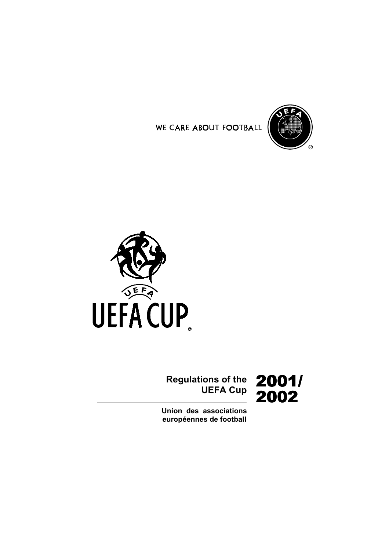





# **Regulations of the** ions of the **2001/**<br>UEFA Cup 2002

**Union des associations** européennes de football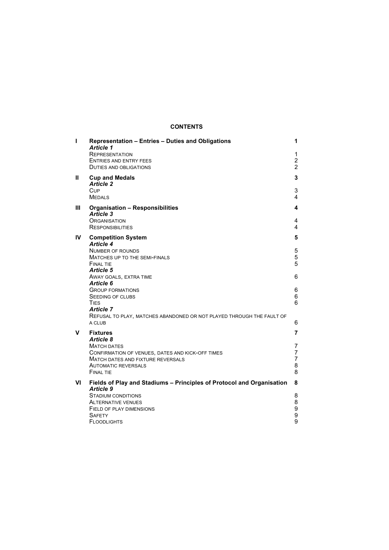# **CONTENTS**

| $\mathbf{I}$ | Representation - Entries - Duties and Obligations<br><b>Article 1</b>                               | 1                   |
|--------------|-----------------------------------------------------------------------------------------------------|---------------------|
|              | <b>REPRESENTATION</b>                                                                               | 1                   |
|              | <b>ENTRIES AND ENTRY FEES</b>                                                                       | $\overline{2}$      |
|              | <b>DUTIES AND OBLIGATIONS</b>                                                                       | $\overline{2}$      |
| Ш            | <b>Cup and Medals</b><br><b>Article 2</b>                                                           | 3                   |
|              | Cup<br><b>MEDALS</b>                                                                                | 3<br>4              |
| Ш            | Organisation - Responsibilities<br>Article 3                                                        | 4                   |
|              | <b>ORGANISATION</b><br><b>RESPONSIBILITIES</b>                                                      | 4<br>4              |
| IV           | <b>Competition System</b><br><b>Article 4</b>                                                       | 5                   |
|              | NUMBER OF ROUNDS<br>MATCHES UP TO THE SEMI-FINALS<br><b>FINAL TIE</b>                               | 5<br>5<br>5         |
|              | <b>Article 5</b><br>AWAY GOALS, EXTRA TIME<br>Article 6                                             | 6                   |
|              | <b>GROUP FORMATIONS</b><br>SEEDING OF CLUBS<br>TIES                                                 | 6<br>6<br>6         |
|              | <b>Article 7</b><br>REFUSAL TO PLAY, MATCHES ABANDONED OR NOT PLAYED THROUGH THE FAULT OF<br>A CLUB | 6                   |
| v            | <b>Fixtures</b>                                                                                     | 7                   |
|              | Article 8<br><b>MATCH DATES</b><br>CONFIRMATION OF VENUES, DATES AND KICK-OFF TIMES                 | 7<br>$\overline{7}$ |
|              | <b>MATCH DATES AND FIXTURE REVERSALS</b>                                                            | $\overline{7}$      |
|              | <b>AUTOMATIC REVERSALS</b><br><b>FINAL TIE</b>                                                      | 8<br>8              |
| VI           | Fields of Play and Stadiums - Principles of Protocol and Organisation<br><b>Article 9</b>           | 8                   |
|              | STADIUM CONDITIONS                                                                                  | 8                   |
|              | <b>ALTERNATIVE VENUES</b>                                                                           | 8                   |
|              | FIELD OF PLAY DIMENSIONS<br><b>SAFETY</b>                                                           | 9<br>9              |
|              | FLOODLIGHTS                                                                                         | 9                   |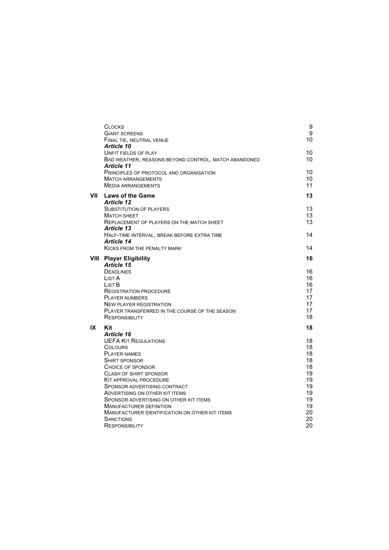|      | <b>CLOCKS</b><br><b>GIANT SCREENS</b><br>FINAL TIE, NEUTRAL VENUE<br><b>Article 10</b>                                                                                                                                                                                                                                                                                                                                                                | 9<br>9<br>10                                                                           |
|------|-------------------------------------------------------------------------------------------------------------------------------------------------------------------------------------------------------------------------------------------------------------------------------------------------------------------------------------------------------------------------------------------------------------------------------------------------------|----------------------------------------------------------------------------------------|
|      | <b>UNFIT FIELDS OF PLAY</b><br>BAD WEATHER, REASONS BEYOND CONTROL, MATCH ABANDONED<br>Article 11                                                                                                                                                                                                                                                                                                                                                     | 10<br>10                                                                               |
|      | PRINCIPLES OF PROTOCOL AND ORGANISATION<br><b>MATCH ARRANGEMENTS</b><br><b>MEDIA ARRANGEMENTS</b>                                                                                                                                                                                                                                                                                                                                                     | 10<br>10<br>11                                                                         |
| VII  | <b>Laws of the Game</b><br><b>Article 12</b><br><b>SUBSTITUTION OF PLAYERS</b><br>MATCH SHEET                                                                                                                                                                                                                                                                                                                                                         | 13<br>13<br>13<br>13                                                                   |
|      | REPLACEMENT OF PLAYERS ON THE MATCH SHEET<br><b>Article 13</b><br>HALF-TIME INTERVAL, BREAK BEFORE EXTRA TIME<br>Article 14                                                                                                                                                                                                                                                                                                                           | 14                                                                                     |
|      | <b>KICKS FROM THE PENALTY MARK</b>                                                                                                                                                                                                                                                                                                                                                                                                                    | 14                                                                                     |
| VIII | <b>Player Eligibility</b><br>Article 15<br><b>DEADLINES</b><br>List A<br>List B<br><b>REGISTRATION PROCEDURE</b><br><b>PLAYER NUMBERS</b><br><b>NEW PLAYER REGISTRATION</b><br>PLAYER TRANSFERRED IN THE COURSE OF THE SEASON<br><b>RESPONSIBILITY</b>                                                                                                                                                                                                | 16<br>16<br>16<br>16<br>17<br>17<br>17<br>17<br>18                                     |
| IX   | Kit<br>Article 16<br><b>UEFA KIT REGULATIONS</b><br><b>COLOURS</b><br><b>PLAYER NAMES</b><br><b>SHIRT SPONSOR</b><br>CHOICE OF SPONSOR<br><b>CLASH OF SHIRT SPONSOR</b><br><b>KIT APPROVAL PROCEDURE</b><br>SPONSOR ADVERTISING CONTRACT<br>ADVERTISING ON OTHER KIT ITEMS<br>SPONSOR ADVERTISING ON OTHER KIT ITEMS<br><b>MANUFACTURER DEFINITION</b><br>MANUFACTURER IDENTIFICATION ON OTHER KIT ITEMS<br><b>SANCTIONS</b><br><b>RESPONSIBILITY</b> | 18<br>18<br>18<br>18<br>18<br>18<br>19<br>19<br>19<br>19<br>19<br>19<br>20<br>20<br>20 |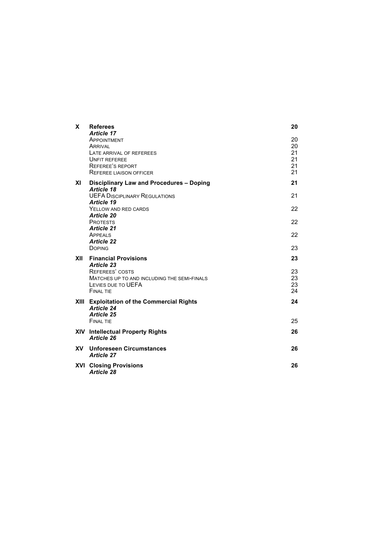| X         | <b>Referees</b><br>Article 17                                                                                                                  | 20                               |
|-----------|------------------------------------------------------------------------------------------------------------------------------------------------|----------------------------------|
|           | APPOINTMENT<br><b>ARRIVAL</b><br>LATE ARRIVAL OF REFEREES<br><b>UNFIT REFEREE</b><br><b>REFEREE'S REPORT</b><br><b>REFEREE LIAISON OFFICER</b> | 20<br>20<br>21<br>21<br>21<br>21 |
| XI        | Disciplinary Law and Procedures - Doping                                                                                                       | 21                               |
|           | <b>Article 18</b><br><b>UEFA DISCIPLINARY REGULATIONS</b>                                                                                      | 21                               |
|           | <b>Article 19</b><br>YELLOW AND RED CARDS                                                                                                      | 22                               |
|           | <b>Article 20</b><br><b>PROTESTS</b>                                                                                                           | 22                               |
|           | <b>Article 21</b><br>APPEALS                                                                                                                   | 22                               |
|           | <b>Article 22</b><br><b>DOPING</b>                                                                                                             | 23                               |
| XII       | <b>Financial Provisions</b><br><b>Article 23</b>                                                                                               | 23                               |
|           | <b>REFEREES' COSTS</b><br>MATCHES UP TO AND INCLUDING THE SEMI-FINALS<br>LEVIES DUE TO UEFA<br><b>FINAL TIE</b>                                | 23<br>23<br>23<br>24             |
|           | XIII Exploitation of the Commercial Rights<br><b>Article 24</b>                                                                                | 24                               |
|           | <b>Article 25</b><br><b>FINAL TIE</b>                                                                                                          | 25                               |
|           | <b>XIV</b> Intellectual Property Rights<br>Article 26                                                                                          | 26                               |
| <b>XV</b> | <b>Unforeseen Circumstances</b><br><b>Article 27</b>                                                                                           | 26                               |
|           | <b>XVI Closing Provisions</b><br><b>Article 28</b>                                                                                             | 26                               |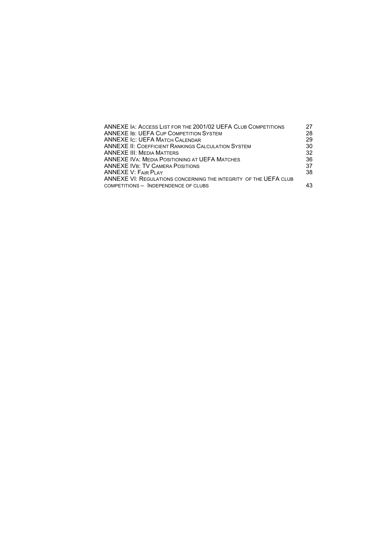| ANNEXE IA: ACCESS LIST FOR THE 2001/02 UEFA CLUB COMPETITIONS     | 27 |
|-------------------------------------------------------------------|----|
| ANNEXE IB: UEFA CUP COMPETITION SYSTEM                            | 28 |
| ANNEXE IC: UEFA MATCH CALENDAR                                    | 29 |
| ANNEXE II: COEFFICIENT RANKINGS CALCULATION SYSTEM                | 30 |
| ANNEXE III: Media Matters                                         | 32 |
| ANNEXE IVA: MEDIA POSITIONING AT UEFA MATCHES                     | 36 |
| ANNEXE IVB: TV CAMERA POSITIONS                                   | 37 |
| ANNEXE V: FAIR PLAY                                               | 38 |
| ANNEXE VI: REGULATIONS CONCERNING THE INTEGRITY  OF THE UEFA CLUB |    |
| COMPETITIONS - INDEPENDENCE OF CLUBS                              | 43 |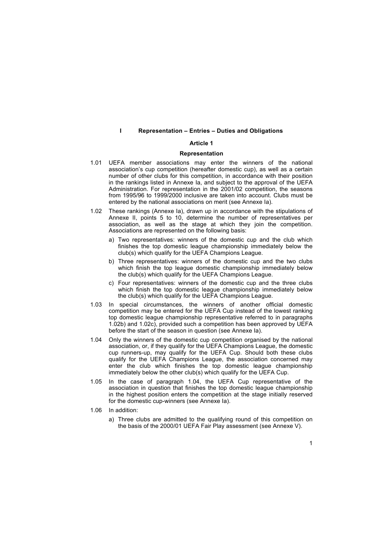### **I** Representation – Entries – Duties and Obligations

## **Article 1**

#### **Representation**

- 1.01 UEFA member associations may enter the winners of the national association's cup competition (hereafter domestic cup), as well as a certain number of other clubs for this competition, in accordance with their position in the rankings listed in Annexe Ia, and subject to the approval of the UEFA Administration. For representation in the 2001/02 competition, the seasons from 1995/96 to 1999/2000 inclusive are taken into account. Clubs must be entered by the national associations on merit (see Annexe Ia).
- 1.02 These rankings (Annexe Ia), drawn up in accordance with the stipulations of Annexe II, points 5 to 10, determine the number of representatives per association, as well as the stage at which they join the competition. Associations are represented on the following basis:
	- a) Two representatives: winners of the domestic cup and the club which finishes the top domestic league championship immediately below the club(s) which qualify for the UEFA Champions League.
	- b) Three representatives: winners of the domestic cup and the two clubs which finish the top league domestic championship immediately below the club(s) which qualify for the UEFA Champions League.
	- c) Four representatives: winners of the domestic cup and the three clubs which finish the top domestic league championship immediately below the club(s) which qualify for the UEFA Champions League.
- 1.03 In special circumstances, the winners of another official domestic competition may be entered for the UEFA Cup instead of the lowest ranking top domestic league championship representative referred to in paragraphs 1.02b) and 1.02c), provided such a competition has been approved by UEFA before the start of the season in question (see Annexe Ia).
- 1.04 Only the winners of the domestic cup competition organised by the national association, or, if they qualify for the UEFA Champions League, the domestic cup runners-up, may qualify for the UEFA Cup. Should both these clubs qualify for the UEFA Champions League, the association concerned may enter the club which finishes the top domestic league championship immediately below the other club(s) which qualify for the UEFA Cup.
- 1.05 In the case of paragraph 1.04, the UEFA Cup representative of the association in question that finishes the top domestic league championship in the highest position enters the competition at the stage initially reserved for the domestic cup-winners (see Annexe Ia).
- 1.06 In addition:
	- a) Three clubs are admitted to the qualifying round of this competition on the basis of the 2000/01 UEFA Fair Play assessment (see Annexe V).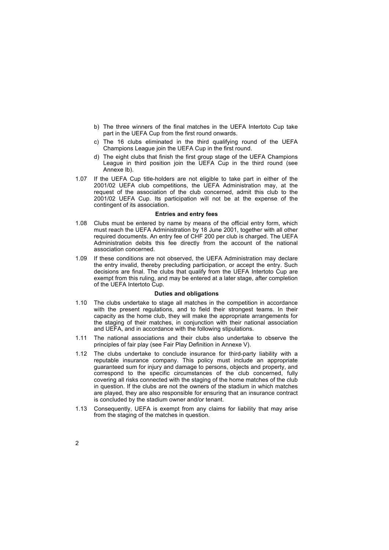- b) The three winners of the final matches in the UEFA Intertoto Cup take part in the UEFA Cup from the first round onwards.
- c) The 16 clubs eliminated in the third qualifying round of the UEFA Champions League join the UEFA Cup in the first round.
- d) The eight clubs that finish the first group stage of the UEFA Champions League in third position join the UEFA Cup in the third round (see Annexe Ib).
- 1.07 If the UEFA Cup title-holders are not eligible to take part in either of the 2001/02 UEFA club competitions, the UEFA Administration may, at the request of the association of the club concerned, admit this club to the 2001/02 UEFA Cup. Its participation will not be at the expense of the contingent of its association.

# **Entries and entry fees**

- 1.08 Clubs must be entered by name by means of the official entry form, which must reach the UEFA Administration by 18 June 2001, together with all other required documents. An entry fee of CHF 200 per club is charged. The UEFA Administration debits this fee directly from the account of the national association concerned.
- 1.09 If these conditions are not observed, the UEFA Administration may declare the entry invalid, thereby precluding participation, or accept the entry. Such decisions are final. The clubs that qualify from the UEFA Intertoto Cup are exempt from this ruling, and may be entered at a later stage, after completion of the UEFA Intertoto Cup.

# **Duties and obligations**

- 1.10 The clubs undertake to stage all matches in the competition in accordance with the present regulations, and to field their strongest teams. In their capacity as the home club, they will make the appropriate arrangements for the staging of their matches, in conjunction with their national association and UEFA, and in accordance with the following stipulations.
- 1.11 The national associations and their clubs also undertake to observe the principles of fair play (see Fair Play Definition in Annexe V).
- 1.12 The clubs undertake to conclude insurance for third-party liability with a reputable insurance company. This policy must include an appropriate guaranteed sum for injury and damage to persons, objects and property, and correspond to the specific circumstances of the club concerned, fully covering all risks connected with the staging of the home matches of the club in question. If the clubs are not the owners of the stadium in which matches are played, they are also responsible for ensuring that an insurance contract is concluded by the stadium owner and/or tenant.
- 1.13 Consequently, UEFA is exempt from any claims for liability that may arise from the staging of the matches in question.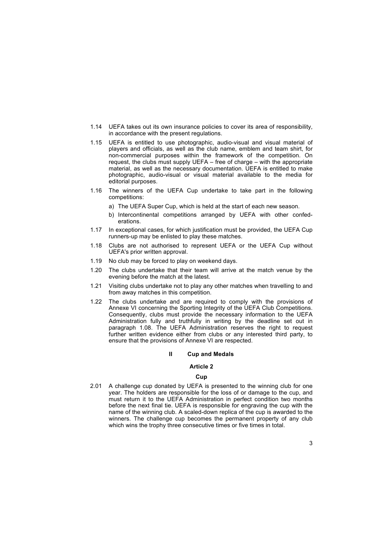- 1.14 UEFA takes out its own insurance policies to cover its area of responsibility, in accordance with the present regulations.
- 1.15 UEFA is entitled to use photographic, audio-visual and visual material of players and officials, as well as the club name, emblem and team shirt, for non-commercial purposes within the framework of the competition. On request, the clubs must supply UEFA  $-$  free of charge  $-$  with the appropriate material, as well as the necessary documentation. UEFA is entitled to make photographic, audio-visual or visual material available to the media for editorial purposes.
- 1.16 The winners of the UEFA Cup undertake to take part in the following competitions:
	- a) The UEFA Super Cup, which is held at the start of each new season.
	- b) Intercontinental competitions arranged by UEFA with other confederations.
- 1.17 In exceptional cases, for which justification must be provided, the UEFA Cup runners-up may be enlisted to play these matches.
- 1.18 Clubs are not authorised to represent UEFA or the UEFA Cup without UEFA's prior written approval.
- 1.19 No club may be forced to play on weekend days.
- 1.20 The clubs undertake that their team will arrive at the match venue by the evening before the match at the latest.
- 1.21 Visiting clubs undertake not to play any other matches when travelling to and from away matches in this competition.
- 1.22 The clubs undertake and are required to comply with the provisions of Annexe VI concerning the Sporting Integrity of the UEFA Club Competitions. Consequently, clubs must provide the necessary information to the UEFA Administration fully and truthfully in writing by the deadline set out in paragraph 1.08. The UEFA Administration reserves the right to request further written evidence either from clubs or any interested third party, to ensure that the provisions of Annexe VI are respected.

# **II Cup and Medals**

#### **Article 2**

### **Cup**

2.01 A challenge cup donated by UEFA is presented to the winning club for one year. The holders are responsible for the loss of or damage to the cup, and must return it to the UEFA Administration in perfect condition two months before the next final tie. UEFA is responsible for engraving the cup with the name of the winning club. A scaled-down replica of the cup is awarded to the winners. The challenge cup becomes the permanent property of any club which wins the trophy three consecutive times or five times in total.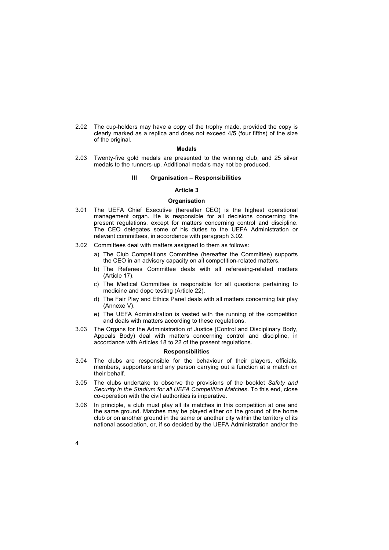2.02 The cup-holders may have a copy of the trophy made, provided the copy is clearly marked as a replica and does not exceed 4/5 (four fifths) of the size of the original.

### **Medals**

2.03 Twenty-five gold medals are presented to the winning club, and 25 silver medals to the runners-up. Additional medals may not be produced.

### **III** Organisation - Responsibilities

# **Article 3**

# **Organisation**

- 3.01 The UEFA Chief Executive (hereafter CEO) is the highest operational management organ. He is responsible for all decisions concerning the present regulations, except for matters concerning control and discipline. The CEO delegates some of his duties to the UEFA Administration or relevant committees, in accordance with paragraph 3.02*.*
- 3.02 Committees deal with matters assigned to them as follows:
	- a) The Club Competitions Committee (hereafter the Committee) supports the CEO in an advisory capacity on all competition-related matters.
	- b) The Referees Committee deals with all refereeing-related matters (Article 17).
	- c) The Medical Committee is responsible for all questions pertaining to medicine and dope testing (Article 22).
	- d) The Fair Play and Ethics Panel deals with all matters concerning fair play (Annexe V).
	- e) The UEFA Administration is vested with the running of the competition and deals with matters according to these regulations.
- 3.03 The Organs for the Administration of Justice (Control and Disciplinary Body, Appeals Body) deal with matters concerning control and discipline, in accordance with Articles 18 to 22 of the present regulations.

#### **Responsibilities**

- 3.04 The clubs are responsible for the behaviour of their players, officials, members, supporters and any person carrying out a function at a match on their behalf.
- 3.05 The clubs undertake to observe the provisions of the booklet *Safety and Security in the Stadium for all UEFA Competition Matches*. To this end, close co-operation with the civil authorities is imperative.
- 3.06 In principle, a club must play all its matches in this competition at one and the same ground. Matches may be played either on the ground of the home club or on another ground in the same or another city within the territory of its national association, or, if so decided by the UEFA Administration and/or the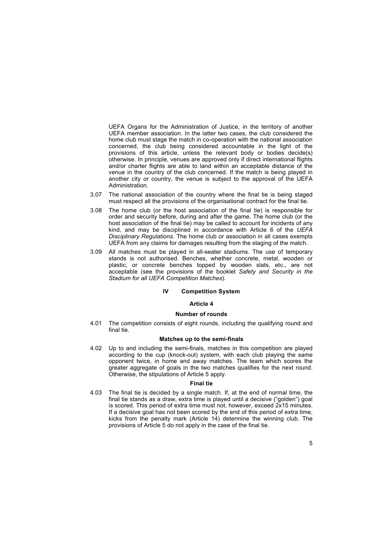UEFA Organs for the Administration of Justice, in the territory of another UEFA member association. In the latter two cases, the club considered the home club must stage the match in co-operation with the national association concerned, the club being considered accountable in the light of the provisions of this article, unless the relevant body or bodies decide(s) otherwise. In principle, venues are approved only if direct international flights and/or charter flights are able to land within an acceptable distance of the venue in the country of the club concerned. If the match is being played in another city or country, the venue is subject to the approval of the UEFA Administration.

- 3.07 The national association of the country where the final tie is being staged must respect all the provisions of the organisational contract for the final tie.
- 3.08 The home club (or the host association of the final tie) is responsible for order and security before, during and after the game. The home club (or the host association of the final tie) may be called to account for incidents of any kind, and may be disciplined in accordance with Article 6 of the *UEFA Disciplinary Regulations*. The home club or association in all cases exempts UEFA from any claims for damages resulting from the staging of the match.
- 3.09 All matches must be played in all-seater stadiums. The use of temporary stands is not authorised. Benches, whether concrete, metal, wooden or plastic, or concrete benches topped by wooden slats, etc., are not acceptable (see the provisions of the booklet *Safety and Security in the Stadium for all UEFA Competition Matches*).

### **IV Competition System**

### **Article 4**

# **Number of rounds**

4.01 The competition consists of eight rounds, including the qualifying round and final tie.

# **Matches up to the semi-finals**

4.02 Up to and including the semi-finals, matches in this competition are played according to the cup (knock-out) system, with each club playing the same opponent twice, in home and away matches. The team which scores the greater aggregate of goals in the two matches qualifies for the next round. Otherwise, the stipulations of Article 5 apply.

### **Final tie**

4.03 The final tie is decided by a single match. If, at the end of normal time, the final tie stands as a draw, extra time is played until a decisive ("golden") goal is scored. This period of extra time must not, however, exceed 2x15 minutes. If a decisive goal has not been scored by the end of this period of extra time, kicks from the penalty mark (Article 14) determine the winning club. The provisions of Article 5 do not apply in the case of the final tie.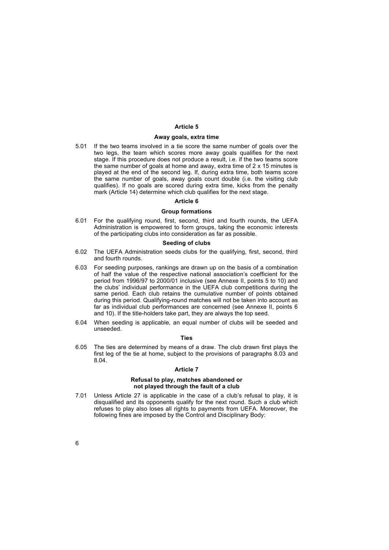# **Article 5**

#### **Away goals, extra time**

5.01 If the two teams involved in a tie score the same number of goals over the two legs, the team which scores more away goals qualifies for the next stage. If this procedure does not produce a result, i.e. if the two teams score the same number of goals at home and away, extra time of 2 x 15 minutes is played at the end of the second leg. If, during extra time, both teams score the same number of goals, away goals count double (i.e. the visiting club qualifies). If no goals are scored during extra time, kicks from the penalty mark (Article 14) determine which club qualifies for the next stage.

#### **Article 6**

# **Group formations**

6.01 For the qualifying round, first, second, third and fourth rounds, the UEFA Administration is empowered to form groups, taking the economic interests of the participating clubs into consideration as far as possible.

### **Seeding of clubs**

- 6.02 The UEFA Administration seeds clubs for the qualifying, first, second, third and fourth rounds.
- 6.03 For seeding purposes, rankings are drawn up on the basis of a combination of half the value of the respective national association's coefficient for the period from 1996/97 to 2000/01 inclusive (see Annexe II, points 5 to 10) and the clubs' individual performance in the UEFA club competitions during the same period. Each club retains the cumulative number of points obtained during this period. Qualifying-round matches will not be taken into account as far as individual club performances are concerned (see Annexe II, points 6 and 10). If the title-holders take part, they are always the top seed.
- 6.04 When seeding is applicable, an equal number of clubs will be seeded and unseeded.

# **Ties**

6.05 The ties are determined by means of a draw. The club drawn first plays the first leg of the tie at home, subject to the provisions of paragraphs 8.03 and 8.04.

### **Article 7**

### **Refusal to play, matches abandoned or not played through the fault of a club**

7.01 Unless Article 27 is applicable in the case of a club's refusal to play, it is disqualified and its opponents qualify for the next round. Such a club which refuses to play also loses all rights to payments from UEFA. Moreover, the following fines are imposed by the Control and Disciplinary Body: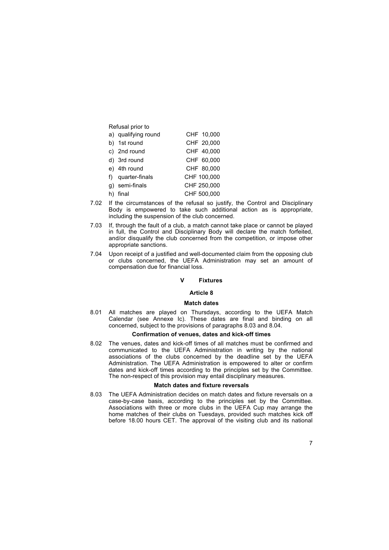| Refusal prior to    |             |
|---------------------|-------------|
| a) qualifying round | CHF 10,000  |
| b) 1st round        | CHF 20,000  |
| c) 2nd round        | CHF 40,000  |
| d) 3rd round        | CHF 60.000  |
| e) 4th round        | CHF 80.000  |
| f) quarter-finals   | CHF 100,000 |
| semi-finals         | CHF 250,000 |
| final               | CHF 500,000 |

- 7.02 If the circumstances of the refusal so justify, the Control and Disciplinary Body is empowered to take such additional action as is appropriate, including the suspension of the club concerned.
- 7.03 If, through the fault of a club, a match cannot take place or cannot be played in full, the Control and Disciplinary Body will declare the match forfeited, and/or disqualify the club concerned from the competition, or impose other appropriate sanctions.
- 7.04 Upon receipt of a justified and well-documented claim from the opposing club or clubs concerned, the UEFA Administration may set an amount of compensation due for financial loss.

# **V Fixtures**

# **Article 8**

# **Match dates**

8.01 All matches are played on Thursdays, according to the UEFA Match Calendar (see Annexe Ic). These dates are final and binding on all concerned, subject to the provisions of paragraphs 8.03 and 8.04.

# **Confirmation of venues, dates and kick-off times**

8.02 The venues, dates and kick-off times of all matches must be confirmed and communicated to the UEFA Administration in writing by the national associations of the clubs concerned by the deadline set by the UEFA Administration. The UEFA Administration is empowered to alter or confirm dates and kick-off times according to the principles set by the Committee. The non-respect of this provision may entail disciplinary measures.

### **Match dates and fixture reversals**

8.03 The UEFA Administration decides on match dates and fixture reversals on a case-by-case basis, according to the principles set by the Committee. Associations with three or more clubs in the UEFA Cup may arrange the home matches of their clubs on Tuesdays, provided such matches kick off before 18.00 hours CET. The approval of the visiting club and its national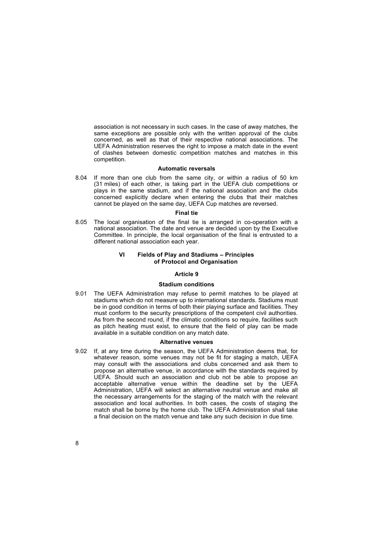same exceptions are possible only with the written approval of the clubs concerned, as well as that of their respective national associations. The UEFA Administration reserves the right to impose a match date in the event of clashes between domestic competition matches and matches in this competition. association is not necessary in such cases. In the case of away matches, the

### **Automatic reversals**

8.04 If more than one club from the same city, or within a radius of 50 km (31 miles) of each other, is taking part in the UEFA club competitions or plays in the same stadium, and if the national association and the clubs concerned explicitly declare when entering the clubs that their matches cannot be played on the same day, UEFA Cup matches are reversed.

#### **Final tie**

8.05 The local organisation of the final tie is arranged in co-operation with a national association. The date and venue are decided upon by the Executive Committee. In principle, the local organisation of the final is entrusted to a different national association each year.

# **VI** Fields of Play and Stadiums - Principles **of Protocol and Organisation**

# **Article 9**

### **Stadium conditions**

9.01 The UEFA Administration may refuse to permit matches to be played at stadiums which do not measure up to international standards. Stadiums must be in good condition in terms of both their playing surface and facilities. They must conform to the security prescriptions of the competent civil authorities. As from the second round, if the climatic conditions so require, facilities such as pitch heating must exist, to ensure that the field of play can be made available in a suitable condition on any match date.

#### **Alternative venues**

9.02 If, at any time during the season, the UEFA Administration deems that, for whatever reason, some venues may not be fit for staging a match. UEFA may consult with the associations and clubs concerned and ask them to propose an alternative venue, in accordance with the standards required by UEFA. Should such an association and club not be able to propose an acceptable alternative venue within the deadline set by the UEFA Administration, UEFA will select an alternative neutral venue and make all the necessary arrangements for the staging of the match with the relevant association and local authorities. In both cases, the costs of staging the match shall be borne by the home club. The UEFA Administration shall take a final decision on the match venue and take any such decision in due time.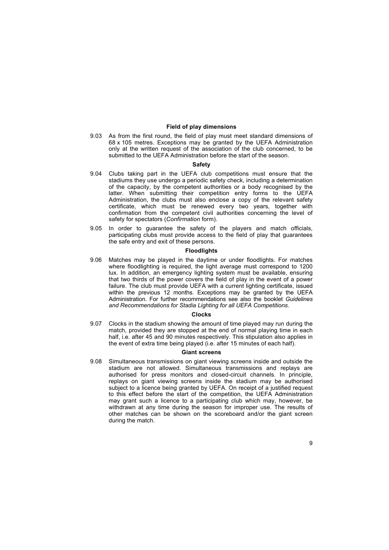# **Field of play dimensions**

9.03 As from the first round, the field of play must meet standard dimensions of 68 x 105 metres. Exceptions may be granted by the UEFA Administration only at the written request of the association of the club concerned, to be submitted to the UEFA Administration before the start of the season.

#### **Safety**

- 9.04 Clubs taking part in the UEFA club competitions must ensure that the stadiums they use undergo a periodic safety check, including a determination of the capacity, by the competent authorities or a body recognised by the latter. When submitting their competition entry forms to the UEFA Administration, the clubs must also enclose a copy of the relevant safety certificate, which must be renewed every two years, together with confirmation from the competent civil authorities concerning the level of safety for spectators (*Confirmation* form).
- 9.05 In order to guarantee the safety of the players and match officials, participating clubs must provide access to the field of play that guarantees the safe entry and exit of these persons.

#### **Floodlights**

9.06 Matches may be played in the daytime or under floodlights. For matches where floodlighting is required, the light average must correspond to 1200 lux. In addition, an emergency lighting system must be available, ensuring that two thirds of the power covers the field of play in the event of a power failure. The club must provide UEFA with a current lighting certificate, issued within the previous 12 months. Exceptions may be granted by the UEFA Administration. For further recommendations see also the booklet *Guidelines and Recommendations for Stadia Lighting for all UEFA Competitions*.

#### **Clocks**

9.07 Clocks in the stadium showing the amount of time played may run during the match, provided they are stopped at the end of normal playing time in each half, i.e. after 45 and 90 minutes respectively. This stipulation also applies in the event of extra time being played (i.e. after 15 minutes of each half).

# **Giant screens**

9.08 Simultaneous transmissions on giant viewing screens inside and outside the stadium are not allowed. Simultaneous transmissions and replays are authorised for press monitors and closed-circuit channels. In principle, replays on giant viewing screens inside the stadium may be authorised subject to a licence being granted by UEFA. On receipt of a justified request to this effect before the start of the competition, the UEFA Administration may grant such a licence to a participating club which may, however, be withdrawn at any time during the season for improper use. The results of other matches can be shown on the scoreboard and/or the giant screen during the match.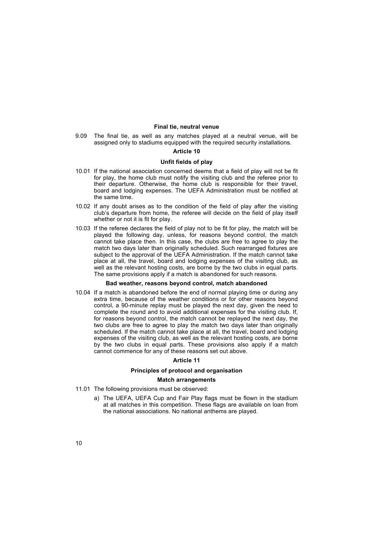# **Final tie, neutral venue**

9.09 The final tie, as well as any matches played at a neutral venue, will be assigned only to stadiums equipped with the required security installations.

### **Article 10**

# **Unfit fields of play**

- 10.01 If the national association concerned deems that a field of play will not be fit for play, the home club must notify the visiting club and the referee prior to their departure. Otherwise, the home club is responsible for their travel, board and lodging expenses. The UEFA Administration must be notified at the same time.
- 10.02 If any doubt arises as to the condition of the field of play after the visiting club's departure from home, the referee will decide on the field of play itself whether or not it is fit for play.
- 10.03 If the referee declares the field of play not to be fit for play, the match will be played the following day, unless, for reasons beyond control, the match cannot take place then. In this case, the clubs are free to agree to play the match two days later than originally scheduled. Such rearranged fixtures are subject to the approval of the UEFA Administration. If the match cannot take place at all, the travel, board and lodging expenses of the visiting club, as well as the relevant hosting costs, are borne by the two clubs in equal parts. The same provisions apply if a match is abandoned for such reasons.

#### **Bad weather, reasons beyond control, match abandoned**

10.04 If a match is abandoned before the end of normal playing time or during any extra time, because of the weather conditions or for other reasons beyond control, a 90-minute replay must be played the next day, given the need to complete the round and to avoid additional expenses for the visiting club. If, for reasons beyond control, the match cannot be replayed the next day, the two clubs are free to agree to play the match two days later than originally scheduled. If the match cannot take place at all, the travel, board and lodging expenses of the visiting club, as well as the relevant hosting costs, are borne by the two clubs in equal parts. These provisions also apply if a match cannot commence for any of these reasons set out above.

# **Article 11**

# **Principles of protocol and organisation**

# **Match arrangements**

- 11.01 The following provisions must be observed:
	- a) The UEFA, UEFA Cup and Fair Play flags must be flown in the stadium at all matches in this competition. These flags are available on loan from the national associations. No national anthems are played.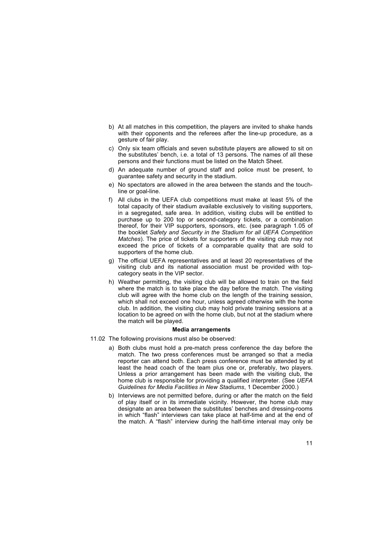- b) At all matches in this competition, the players are invited to shake hands with their opponents and the referees after the line-up procedure, as a gesture of fair play.
- c) Only six team officials and seven substitute players are allowed to sit on the substitutes' bench, i.e. a total of 13 persons. The names of all these persons and their functions must be listed on the Match Sheet.
- d) An adequate number of ground staff and police must be present, to guarantee safety and security in the stadium.
- e) No spectators are allowed in the area between the stands and the touchline or goal-line.
- f) All clubs in the UEFA club competitions must make at least 5% of the total capacity of their stadium available exclusively to visiting supporters, in a segregated, safe area. In addition, visiting clubs will be entitled to purchase up to 200 top or second-category tickets, or a combination thereof, for their VIP supporters, sponsors, etc. (see paragraph 1.05 of the booklet *Safety and Security in the Stadium for all UEFA Competition Matches*). The price of tickets for supporters of the visiting club may not exceed the price of tickets of a comparable quality that are sold to supporters of the home club.
- g) The official UEFA representatives and at least 20 representatives of the visiting club and its national association must be provided with topcategory seats in the VIP sector.
- h) Weather permitting, the visiting club will be allowed to train on the field where the match is to take place the day before the match. The visiting club will agree with the home club on the length of the training session, which shall not exceed one hour, unless agreed otherwise with the home club. In addition, the visiting club may hold private training sessions at a location to be agreed on with the home club, but not at the stadium where the match will be played.

### **Media arrangements**

- 11.02 The following provisions must also be observed:
	- a) Both clubs must hold a pre-match press conference the day before the match. The two press conferences must be arranged so that a media reporter can attend both. Each press conference must be attended by at least the head coach of the team plus one or, preferably, two players. Unless a prior arrangement has been made with the visiting club, the home club is responsible for providing a qualified interpreter. (See *UEFA Guidelines for Media Facilities in New Stadiums*, 1 December 2000.)
	- b) Interviews are not permitted before, during or after the match on the field of play itself or in its immediate vicinity. However, the home club may designate an area between the substitutes' benches and dressing-rooms in which "flash" interviews can take place at half-time and at the end of the match. A "flash" interview during the half-time interval may only be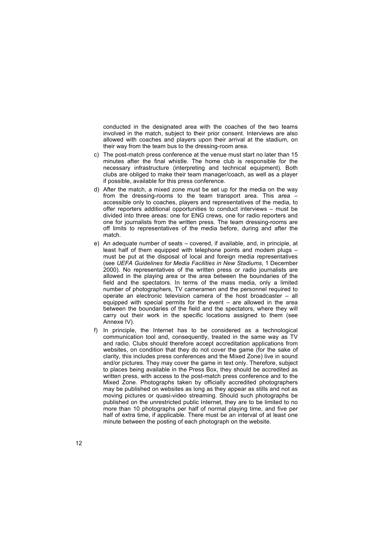conducted in the designated area with the coaches of the two teams involved in the match, subject to their prior consent. Interviews are also allowed with coaches and players upon their arrival at the stadium, on their way from the team bus to the dressing-room area.

- c) The post-match press conference at the venue must start no later than 15 minutes after the final whistle. The home club is responsible for the necessary infrastructure (interpreting and technical equipment). Both clubs are obliged to make their team manager/coach, as well as a player if possible, available for this press conference.
- d) After the match, a mixed zone must be set up for the media on the way from the dressing-rooms to the team transport area. This area  $-\frac{1}{2}$ accessible only to coaches, players and representatives of the media, to offer reporters additional opportunities to conduct interviews  $-$  must be divided into three areas: one for ENG crews, one for radio reporters and one for journalists from the written press. The team dressing-rooms are off limits to representatives of the media before, during and after the match.
- e) An adequate number of seats covered, if available, and, in principle, at least half of them equipped with telephone points and modem plugs  $$ must be put at the disposal of local and foreign media representatives (see *UEFA Guidelines for Media Facilities in New Stadiums*, 1 December 2000). No representatives of the written press or radio journalists are allowed in the playing area or the area between the boundaries of the field and the spectators. In terms of the mass media, only a limited number of photographers, TV cameramen and the personnel required to operate an electronic television camera of the host broadcaster  $-$  all equipped with special permits for the event  $-$  are allowed in the area between the boundaries of the field and the spectators, where they will carry out their work in the specific locations assigned to them (see Annexe IV).
- f) In principle, the Internet has to be considered as a technological communication tool and, consequently, treated in the same way as TV and radio. Clubs should therefore accept accreditation applications from websites, on condition that they do not cover the game (for the sake of clarity, this includes press conferences and the Mixed Zone) live in sound and/or pictures. They may cover the game in text only. Therefore, subject to places being available in the Press Box, they should be accredited as written press, with access to the post-match press conference and to the Mixed Zone. Photographs taken by officially accredited photographers may be published on websites as long as they appear as stills and not as moving pictures or quasi-video streaming. Should such photographs be published on the unrestricted public Internet, they are to be limited to no more than 10 photographs per half of normal playing time, and five per half of extra time, if applicable. There must be an interval of at least one minute between the posting of each photograph on the website.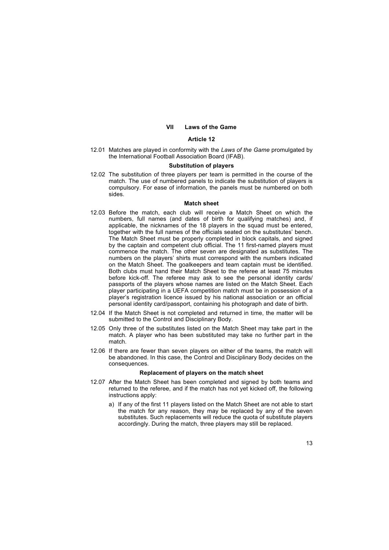# **VII Laws of the Game**

# **Article 12**

12.01 Matches are played in conformity with the *Laws of the Game* promulgated by the International Football Association Board (IFAB).

### **Substitution of players**

12.02 The substitution of three players per team is permitted in the course of the match. The use of numbered panels to indicate the substitution of players is compulsory. For ease of information, the panels must be numbered on both sides.

### **Match sheet**

- 12.03 Before the match, each club will receive a Match Sheet on which the numbers, full names (and dates of birth for qualifying matches) and, if applicable, the nicknames of the 18 players in the squad must be entered, together with the full names of the officials seated on the substitutes' bench. The Match Sheet must be properly completed in block capitals, and signed by the captain and competent club official. The 11 first-named players must commence the match. The other seven are designated as substitutes. The numbers on the players' shirts must correspond with the numbers indicated on the Match Sheet. The goalkeepers and team captain must be identified. Both clubs must hand their Match Sheet to the referee at least 75 minutes before kick-off. The referee may ask to see the personal identity cards/ passports of the players whose names are listed on the Match Sheet. Each player participating in a UEFA competition match must be in possession of a playerís registration licence issued by his national association or an official personal identity card/passport, containing his photograph and date of birth.
- 12.04 If the Match Sheet is not completed and returned in time, the matter will be submitted to the Control and Disciplinary Body.
- 12.05 Only three of the substitutes listed on the Match Sheet may take part in the match. A player who has been substituted may take no further part in the match.
- 12.06 If there are fewer than seven players on either of the teams, the match will be abandoned. In this case, the Control and Disciplinary Body decides on the consequences.

# **Replacement of players on the match sheet**

- 12.07 After the Match Sheet has been completed and signed by both teams and returned to the referee, and if the match has not yet kicked off, the following instructions apply:
	- a) If any of the first 11 players listed on the Match Sheet are not able to start the match for any reason, they may be replaced by any of the seven substitutes. Such replacements will reduce the quota of substitute players accordingly. During the match, three players may still be replaced.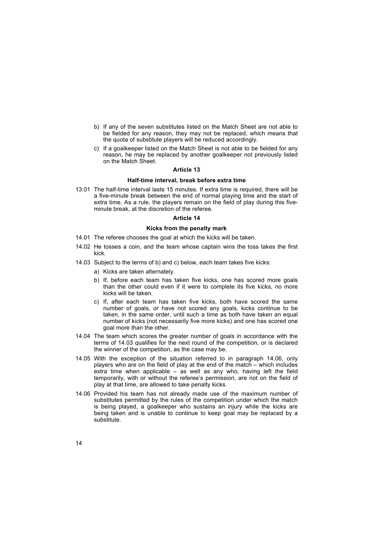- b) If any of the seven substitutes listed on the Match Sheet are not able to be fielded for any reason, they may not be replaced, which means that the quota of substitute players will be reduced accordingly.
- c) If a goalkeeper listed on the Match Sheet is not able to be fielded for any reason, he may be replaced by another goalkeeper not previously listed on the Match Sheet.

### **Article 13**

# **Half-time interval, break before extra time**

13.01 The half-time interval lasts 15 minutes. If extra time is required, there will be a five-minute break between the end of normal playing time and the start of extra time. As a rule, the players remain on the field of play during this fiveminute break, at the discretion of the referee.

# **Article 14**

# **Kicks from the penalty mark**

- 14.01 The referee chooses the goal at which the kicks will be taken.
- 14.02 He tosses a coin, and the team whose captain wins the toss takes the first kick.
- 14.03 Subject to the terms of b) and c) below, each team takes five kicks:
	- a) Kicks are taken alternately.
	- b) If, before each team has taken five kicks, one has scored more goals than the other could even if it were to complete its five kicks, no more kicks will be taken.
	- c) If, after each team has taken five kicks, both have scored the same number of goals, or have not scored any goals, kicks continue to be taken, in the same order, until such a time as both have taken an equal number of kicks (not necessarily five more kicks) and one has scored one goal more than the other.
- 14.04 The team which scores the greater number of goals in accordance with the terms of 14.03 qualifies for the next round of the competition, or is declared the winner of the competition, as the case may be.
- 14.05 With the exception of the situation referred to in paragraph 14.06, only players who are on the field of play at the end of the match  $-$  which includes extra time when applicable  $-$  as well as any who, having left the field temporarily, with or without the referee's permission, are not on the field of play at that time, are allowed to take penalty kicks.
- 14.06 Provided his team has not already made use of the maximum number of substitutes permitted by the rules of the competition under which the match is being played, a goalkeeper who sustains an injury while the kicks are being taken and is unable to continue to keep goal may be replaced by a substitute.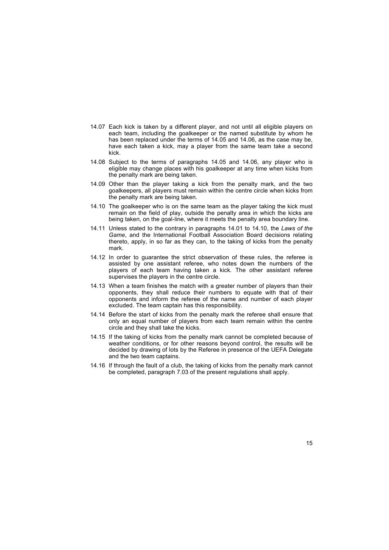- 14.07 Each kick is taken by a different player, and not until all eligible players on each team, including the goalkeeper or the named substitute by whom he has been replaced under the terms of 14.05 and 14.06, as the case may be, have each taken a kick, may a player from the same team take a second kick.
- 14.08 Subject to the terms of paragraphs 14.05 and 14.06, any player who is eligible may change places with his goalkeeper at any time when kicks from the penalty mark are being taken.
- 14.09 Other than the player taking a kick from the penalty mark, and the two goalkeepers, all players must remain within the centre circle when kicks from the penalty mark are being taken.
- 14.10 The goalkeeper who is on the same team as the player taking the kick must remain on the field of play, outside the penalty area in which the kicks are being taken, on the goal-line, where it meets the penalty area boundary line.
- 14.11 Unless stated to the contrary in paragraphs 14.01 to 14.10, the *Laws of the Game*, and the International Football Association Board decisions relating thereto, apply, in so far as they can, to the taking of kicks from the penalty mark.
- 14.12 In order to guarantee the strict observation of these rules, the referee is assisted by one assistant referee, who notes down the numbers of the players of each team having taken a kick. The other assistant referee supervises the players in the centre circle.
- 14.13 When a team finishes the match with a greater number of players than their opponents, they shall reduce their numbers to equate with that of their opponents and inform the referee of the name and number of each player excluded. The team captain has this responsibility.
- 14.14 Before the start of kicks from the penalty mark the referee shall ensure that only an equal number of players from each team remain within the centre circle and they shall take the kicks.
- 14.15 If the taking of kicks from the penalty mark cannot be completed because of weather conditions, or for other reasons beyond control, the results will be decided by drawing of lots by the Referee in presence of the UEFA Delegate and the two team captains.
- 14.16 If through the fault of a club, the taking of kicks from the penalty mark cannot be completed, paragraph 7.03 of the present regulations shall apply.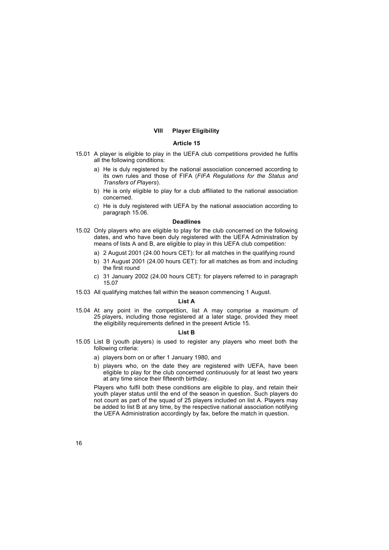# **VIII Player Eligibility**

# **Article 15**

- 15.01 A player is eligible to play in the UEFA club competitions provided he fulfils all the following conditions:
	- a) He is duly registered by the national association concerned according to its own rules and those of FIFA (*FIFA Regulations for the Status and Transfers of Players*).
	- b) He is only eligible to play for a club affiliated to the national association concerned.
	- c) He is duly registered with UEFA by the national association according to paragraph 15.06.

### **Deadlines**

- 15.02 Only players who are eligible to play for the club concerned on the following dates, and who have been duly registered with the UEFA Administration by means of lists A and B, are eligible to play in this UEFA club competition:
	- a) 2 August 2001 (24.00 hours CET): for all matches in the qualifying round
	- b) 31 August 2001 (24.00 hours CET): for all matches as from and including the first round
	- c) 31 January 2002 (24.00 hours CET): for players referred to in paragraph 15.07
- 15.03 All qualifying matches fall within the season commencing 1 August.

#### **List A**

15.04 At any point in the competition, list A may comprise a maximum of 25 players, including those registered at a later stage, provided they meet the eligibility requirements defined in the present Article 15.

# **List B**

- 15.05 List B (youth players) is used to register any players who meet both the following criteria:
	- a) players born on or after 1 January 1980, and
	- b) players who, on the date they are registered with UEFA, have been eligible to play for the club concerned continuously for at least two years at any time since their fifteenth birthday.

Players who fulfil both these conditions are eligible to play, and retain their youth player status until the end of the season in question. Such players do not count as part of the squad of 25 players included on list A. Players may be added to list B at any time, by the respective national association notifying the UEFA Administration accordingly by fax, before the match in question.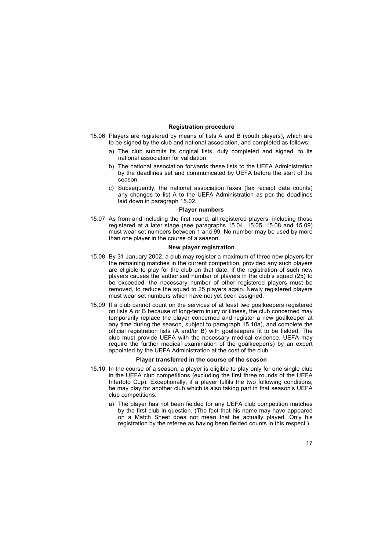# **Registration procedure**

- 15.06 Players are registered by means of lists A and B (youth players), which are to be signed by the club and national association, and completed as follows:
	- a) The club submits its original lists, duly completed and signed, to its national association for validation.
	- b) The national association forwards these lists to the UEFA Administration by the deadlines set and communicated by UEFA before the start of the season.
	- c) Subsequently, the national association faxes (fax receipt date counts) any changes to list A to the UEFA Administration as per the deadlines laid down in paragraph 15.02.

### **Player numbers**

15.07 As from and including the first round, all registered players, including those registered at a later stage (see paragraphs 15.04, 15.05, 15.08 and 15.09) must wear set numbers between 1 and 99. No number may be used by more than one player in the course of a season.

# **New player registration**

- 15.08 By 31 January 2002, a club may register a maximum of three new players for the remaining matches in the current competition, provided any such players are eligible to play for the club on that date. If the registration of such new players causes the authorised number of players in the club's squad (25) to be exceeded, the necessary number of other registered players must be removed, to reduce the squad to 25 players again. Newly registered players must wear set numbers which have not yet been assigned.
- 15.09 If a club cannot count on the services of at least two goalkeepers registered on lists A or B because of long-term injury or illness, the club concerned may temporarily replace the player concerned and register a new goalkeeper at any time during the season, subject to paragraph 15.10a), and complete the official registration lists (A and/or B) with goalkeepers fit to be fielded. The club must provide UEFA with the necessary medical evidence. UEFA may require the further medical examination of the goalkeeper(s) by an expert appointed by the UEFA Administration at the cost of the club.

# **Player transferred in the course of the season**

- 15.10 In the course of a season, a player is eligible to play only for one single club in the UEFA club competitions (excluding the first three rounds of the UEFA Intertoto Cup). Exceptionally, if a player fulfils the two following conditions, he may play for another club which is also taking part in that season's UEFA club competitions:
	- a) The player has not been fielded for any UEFA club competition matches by the first club in question. (The fact that his name may have appeared on a Match Sheet does not mean that he actually played. Only his registration by the referee as having been fielded counts in this respect.)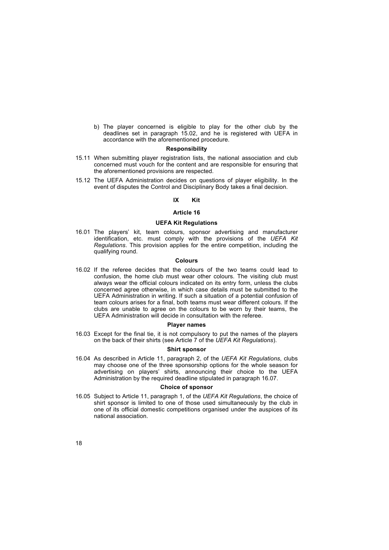b) The player concerned is eligible to play for the other club by the deadlines set in paragraph 15.02, and he is registered with UEFA in accordance with the aforementioned procedure.

# **Responsibility**

- 15.11 When submitting player registration lists, the national association and club concerned must vouch for the content and are responsible for ensuring that the aforementioned provisions are respected.
- 15.12 The UEFA Administration decides on questions of player eligibility. In the event of disputes the Control and Disciplinary Body takes a final decision.

### **IX Kit**

### **Article 16**

# **UEFA Kit Regulations**

16.01 The players' kit, team colours, sponsor advertising and manufacturer identification, etc. must comply with the provisions of the *UEFA Kit Regulations*. This provision applies for the entire competition, including the qualifying round.

# **Colours**

16.02 If the referee decides that the colours of the two teams could lead to confusion, the home club must wear other colours. The visiting club must always wear the official colours indicated on its entry form, unless the clubs concerned agree otherwise, in which case details must be submitted to the UEFA Administration in writing. If such a situation of a potential confusion of team colours arises for a final, both teams must wear different colours. If the clubs are unable to agree on the colours to be worn by their teams, the UEFA Administration will decide in consultation with the referee.

#### **Player names**

16.03 Except for the final tie, it is not compulsory to put the names of the players on the back of their shirts (see Article 7 of the *UEFA Kit Regulations*).

#### **Shirt sponsor**

16.04 As described in Article 11, paragraph 2, of the *UEFA Kit Regulations*, clubs may choose one of the three sponsorship options for the whole season for advertising on players' shirts, announcing their choice to the UEFA Administration by the required deadline stipulated in paragraph 16.07.

### **Choice of sponsor**

16.05 Subject to Article 11, paragraph 1, of the *UEFA Kit Regulations*, the choice of shirt sponsor is limited to one of those used simultaneously by the club in one of its official domestic competitions organised under the auspices of its national association.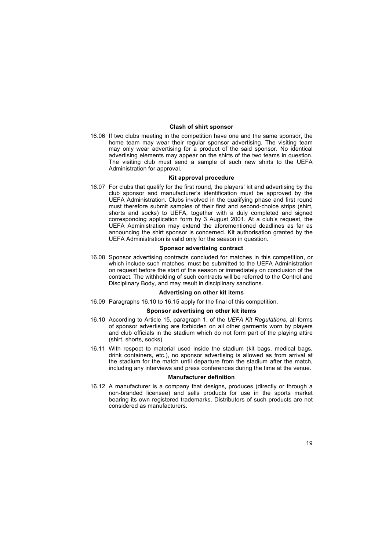# **Clash of shirt sponsor**

16.06 If two clubs meeting in the competition have one and the same sponsor, the home team may wear their regular sponsor advertising. The visiting team may only wear advertising for a product of the said sponsor. No identical advertising elements may appear on the shirts of the two teams in question. The visiting club must send a sample of such new shirts to the UEFA Administration for approval.

# **Kit approval procedure**

16.07 For clubs that qualify for the first round, the players' kit and advertising by the club sponsor and manufacturer's identification must be approved by the UEFA Administration. Clubs involved in the qualifying phase and first round must therefore submit samples of their first and second-choice strips (shirt, shorts and socks) to UEFA, together with a duly completed and signed corresponding application form by 3 August 2001. At a club's request, the UEFA Administration may extend the aforementioned deadlines as far as announcing the shirt sponsor is concerned. Kit authorisation granted by the UEFA Administration is valid only for the season in question.

# **Sponsor advertising contract**

16.08 Sponsor advertising contracts concluded for matches in this competition, or which include such matches, must be submitted to the UEFA Administration on request before the start of the season or immediately on conclusion of the contract. The withholding of such contracts will be referred to the Control and Disciplinary Body, and may result in disciplinary sanctions.

# **Advertising on other kit items**

16.09 Paragraphs 16.10 to 16.15 apply for the final of this competition.

# **Sponsor advertising on other kit items**

- 16.10 According to Article 15, paragraph 1, of the *UEFA Kit Regulations*, all forms of sponsor advertising are forbidden on all other garments worn by players and club officials in the stadium which do not form part of the playing attire (shirt, shorts, socks).
- 16.11 With respect to material used inside the stadium (kit bags, medical bags, drink containers, etc.), no sponsor advertising is allowed as from arrival at the stadium for the match until departure from the stadium after the match, including any interviews and press conferences during the time at the venue.

# **Manufacturer definition**

16.12 A manufacturer is a company that designs, produces (directly or through a non-branded licensee) and sells products for use in the sports market bearing its own registered trademarks. Distributors of such products are not considered as manufacturers.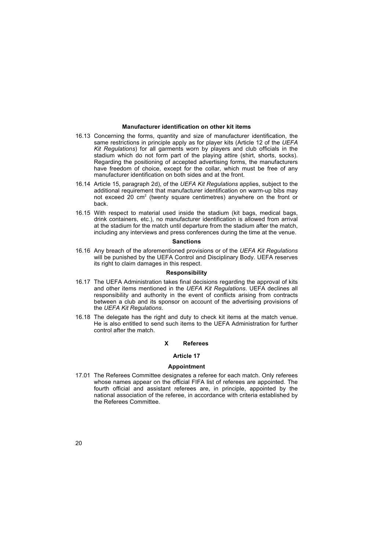### **Manufacturer identification on other kit items**

- 16.13 Concerning the forms, quantity and size of manufacturer identification, the same restrictions in principle apply as for player kits (Article 12 of the *UEFA Kit Regulations*) for all garments worn by players and club officials in the stadium which do not form part of the playing attire (shirt, shorts, socks). Regarding the positioning of accepted advertising forms, the manufacturers have freedom of choice, except for the collar, which must be free of any manufacturer identification on both sides and at the front.
- 16.14 Article 15, paragraph 2d), of the *UEFA Kit Regulations* applies, subject to the additional requirement that manufacturer identification on warm-up bibs may not exceed 20 cm<sup>2</sup> (twenty square centimetres) anywhere on the front or back.
- 16.15 With respect to material used inside the stadium (kit bags, medical bags, drink containers, etc.), no manufacturer identification is allowed from arrival at the stadium for the match until departure from the stadium after the match, including any interviews and press conferences during the time at the venue.

# **Sanctions**

16.16 Any breach of the aforementioned provisions or of the *UEFA Kit Regulations* will be punished by the UEFA Control and Disciplinary Body. UEFA reserves its right to claim damages in this respect.

#### **Responsibility**

- 16.17 The UEFA Administration takes final decisions regarding the approval of kits and other items mentioned in the *UEFA Kit Regulations*. UEFA declines all responsibility and authority in the event of conflicts arising from contracts between a club and its sponsor on account of the advertising provisions of the *UEFA Kit Regulations*.
- 16.18 The delegate has the right and duty to check kit items at the match venue. He is also entitled to send such items to the UEFA Administration for further control after the match.

# **X Referees**

# **Article 17**

#### **Appointment**

17.01 The Referees Committee designates a referee for each match. Only referees whose names appear on the official FIFA list of referees are appointed. The fourth official and assistant referees are, in principle, appointed by the national association of the referee, in accordance with criteria established by the Referees Committee.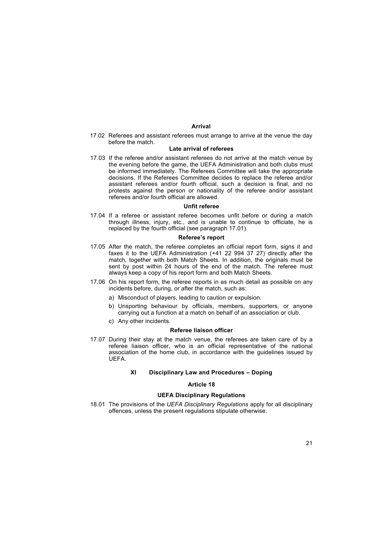### **Arrival**

17.02 Referees and assistant referees must arrange to arrive at the venue the day before the match.

# **Late arrival of referees**

17.03 If the referee and/or assistant referees do not arrive at the match venue by the evening before the game, the UEFA Administration and both clubs must be informed immediately. The Referees Committee will take the appropriate decisions. If the Referees Committee decides to replace the referee and/or assistant referees and/or fourth official, such a decision is final, and no protests against the person or nationality of the referee and/or assistant referees and/or fourth official are allowed.

#### **Unfit referee**

17.04 If a referee or assistant referee becomes unfit before or during a match through illness, injury, etc., and is unable to continue to officiate, he is replaced by the fourth official (see paragraph 17.01).

### **Refereeís report**

- 17.05 After the match, the referee completes an official report form, signs it and faxes it to the UEFA Administration (+41 22 994 37 27) directly after the match, together with both Match Sheets. In addition, the originals must be sent by post within 24 hours of the end of the match. The referee must always keep a copy of his report form and both Match Sheets.
- 17.06 On his report form, the referee reports in as much detail as possible on any incidents before, during, or after the match, such as:
	- a) Misconduct of players, leading to caution or expulsion.
	- b) Unsporting behaviour by officials, members, supporters, or anyone carrying out a function at a match on behalf of an association or club.
	- c) Any other incidents.

### **Referee liaison officer**

17.07 During their stay at the match venue, the referees are taken care of by a referee liaison officer, who is an official representative of the national association of the home club, in accordance with the guidelines issued by UEFA.

### **XI** Disciplinary Law and Procedures - Doping

### **Article 18**

# **UEFA Disciplinary Regulations**

18.01 The provisions of the *UEFA Disciplinary Regulations* apply for all disciplinary offences, unless the present regulations stipulate otherwise.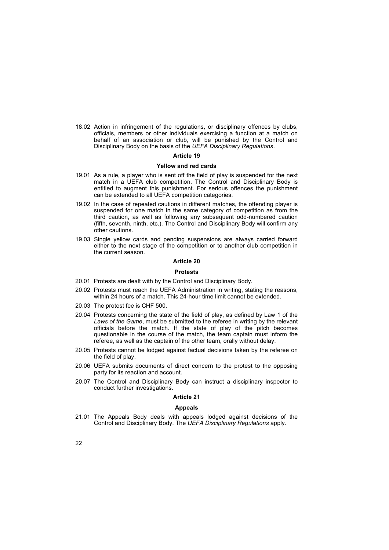18.02 Action in infringement of the regulations, or disciplinary offences by clubs, officials, members or other individuals exercising a function at a match on behalf of an association or club, will be punished by the Control and Disciplinary Body on the basis of the *UEFA Disciplinary Regulations*.

### **Article 19**

#### **Yellow and red cards**

- 19.01 As a rule, a player who is sent off the field of play is suspended for the next match in a UEFA club competition. The Control and Disciplinary Body is entitled to augment this punishment. For serious offences the punishment can be extended to all UEFA competition categories.
- 19.02 In the case of repeated cautions in different matches, the offending player is suspended for one match in the same category of competition as from the third caution, as well as following any subsequent odd-numbered caution (fifth, seventh, ninth, etc.). The Control and Disciplinary Body will confirm any other cautions.
- 19.03 Single yellow cards and pending suspensions are always carried forward either to the next stage of the competition or to another club competition in the current season.

# **Article 20**

# **Protests**

- 20.01 Protests are dealt with by the Control and Disciplinary Body.
- 20.02 Protests must reach the UEFA Administration in writing, stating the reasons, within 24 hours of a match. This 24-hour time limit cannot be extended.
- 20.03 The protest fee is CHF 500.
- 20.04 Protests concerning the state of the field of play, as defined by Law 1 of the *Laws of the Game*, must be submitted to the referee in writing by the relevant officials before the match. If the state of play of the pitch becomes questionable in the course of the match, the team captain must inform the referee, as well as the captain of the other team, orally without delay.
- 20.05 Protests cannot be lodged against factual decisions taken by the referee on the field of play.
- 20.06 UEFA submits documents of direct concern to the protest to the opposing party for its reaction and account.
- 20.07 The Control and Disciplinary Body can instruct a disciplinary inspector to conduct further investigations.

### **Article 21**

# **Appeals**

21.01 The Appeals Body deals with appeals lodged against decisions of the Control and Disciplinary Body. The *UEFA Disciplinary Regulations* apply.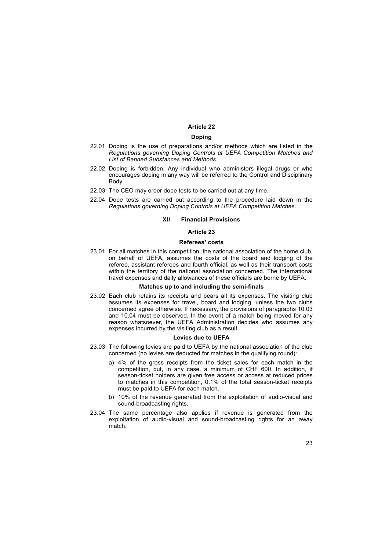# **Article 22**

#### **Doping**

- 22.01 Doping is the use of preparations and/or methods which are listed in the *Regulations governing Doping Controls at UEFA Competition Matches and List of Banned Substances and Methods*.
- 22.02 Doping is forbidden. Any individual who administers illegal drugs or who encourages doping in any way will be referred to the Control and Disciplinary Body.
- 22.03 The CEO may order dope tests to be carried out at any time.
- 22.04 Dope tests are carried out according to the procedure laid down in the *Regulations governing Doping Controls at UEFA Competition Matches*.

# **XII Financial Provisions**

# **Article 23**

### **Refereesí costs**

23.01 For all matches in this competition, the national association of the home club, on behalf of UEFA, assumes the costs of the board and lodging of the referee, assistant referees and fourth official, as well as their transport costs within the territory of the national association concerned. The international travel expenses and daily allowances of these officials are borne by UEFA.

#### **Matches up to and including the semi-finals**

23.02 Each club retains its receipts and bears all its expenses. The visiting club assumes its expenses for travel, board and lodging, unless the two clubs concerned agree otherwise. If necessary, the provisions of paragraphs 10.03 and 10.04 must be observed. In the event of a match being moved for any reason whatsoever, the UEFA Administration decides who assumes any expenses incurred by the visiting club as a result.

### **Levies due to UEFA**

- 23.03 The following levies are paid to UEFA by the national association of the club concerned (no levies are deducted for matches in the qualifying round):
	- a) 4% of the gross receipts from the ticket sales for each match in the competition, but, in any case, a minimum of CHF 600. In addition, if season-ticket holders are given free access or access at reduced prices to matches in this competition, 0.1% of the total season-ticket receipts must be paid to UEFA for each match.
	- b) 10% of the revenue generated from the exploitation of audio-visual and sound-broadcasting rights.
- 23.04 The same percentage also applies if revenue is generated from the exploitation of audio-visual and sound-broadcasting rights for an away match.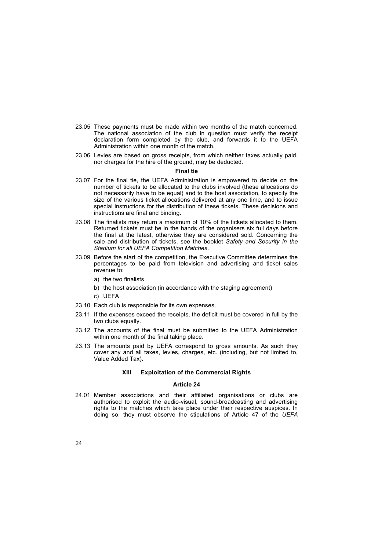- 23.05 These payments must be made within two months of the match concerned. The national association of the club in question must verify the receipt declaration form completed by the club, and forwards it to the UEFA Administration within one month of the match.
- 23.06 Levies are based on gross receipts, from which neither taxes actually paid, nor charges for the hire of the ground, may be deducted.

# **Final tie**

- 23.07 For the final tie, the UEFA Administration is empowered to decide on the number of tickets to be allocated to the clubs involved (these allocations do not necessarily have to be equal) and to the host association, to specify the size of the various ticket allocations delivered at any one time, and to issue special instructions for the distribution of these tickets. These decisions and instructions are final and binding.
- 23.08 The finalists may return a maximum of 10% of the tickets allocated to them. Returned tickets must be in the hands of the organisers six full days before the final at the latest, otherwise they are considered sold. Concerning the sale and distribution of tickets, see the booklet *Safety and Security in the Stadium for all UEFA Competition Matches*.
- 23.09 Before the start of the competition, the Executive Committee determines the percentages to be paid from television and advertising and ticket sales revenue to:
	- a) the two finalists
	- b) the host association (in accordance with the staging agreement)
	- c) UEFA
- 23.10 Each club is responsible for its own expenses.
- 23.11 If the expenses exceed the receipts, the deficit must be covered in full by the two clubs equally.
- 23.12 The accounts of the final must be submitted to the UEFA Administration within one month of the final taking place.
- 23.13 The amounts paid by UEFA correspond to gross amounts. As such they cover any and all taxes, levies, charges, etc. (including, but not limited to, Value Added Tax).

### **XIII Exploitation of the Commercial Rights**

### **Article 24**

24.01 Member associations and their affiliated organisations or clubs are authorised to exploit the audio-visual, sound-broadcasting and advertising rights to the matches which take place under their respective auspices. In doing so, they must observe the stipulations of Article 47 of the *UEFA*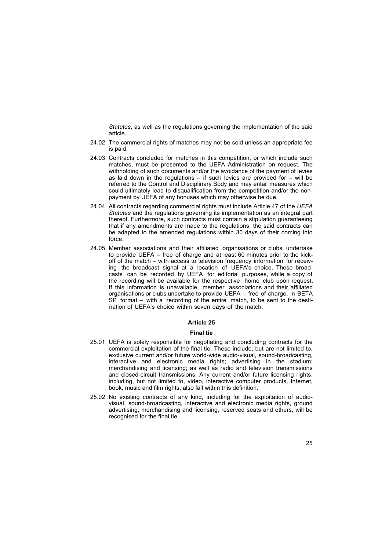*Statutes*, as well as the regulations governing the implementation of the said article.

- 24.02 The commercial rights of matches may not be sold unless an appropriate fee is paid.
- 24.03 Contracts concluded for matches in this competition, or which include such matches, must be presented to the UEFA Administration on request. The withholding of such documents and/or the avoidance of the payment of levies as laid down in the regulations  $-$  if such levies are provided for  $-$  will be referred to the Control and Disciplinary Body and may entail measures which could ultimately lead to disqualification from the competition and/or the nonpayment by UEFA of any bonuses which may otherwise be due.
- 24.04 All contracts regarding commercial rights must include Article 47 of the *UEFA Statutes* and the regulations governing its implementation as an integral part thereof. Furthermore, such contracts must contain a stipulation guaranteeing that if any amendments are made to the regulations, the said contracts can be adapted to the amended regulations within 30 days of their coming into force.
- 24.05 Member associations and their affiliated organisations or clubs undertake to provide UEFA  $-$  free of charge and at least 60 minutes prior to the kickoff of the match  $-$  with access to television frequency information for receiving the broadcast signal at a location of UEFAís choice. These broadcasts can be recorded by UEFA for editorial purposes, while a copy of the recording will be available for the respective home club upon request. If this information is unavailable, member associations and their affiliated organisations or clubs undertake to provide UEFA - free of charge, in BETA  $SP$  format – with a recording of the entire match, to be sent to the destination of UEFA's choice within seven days of the match.

### **Article 25**

### **Final tie**

- 25.01 UEFA is solely responsible for negotiating and concluding contracts for the commercial exploitation of the final tie. These include, but are not limited to, exclusive current and/or future world-wide audio-visual, sound-broadcasting, interactive and electronic media rights; advertising in the stadium; merchandising and licensing; as well as radio and television transmissions and closed-circuit transmissions. Any current and/or future licensing rights, including, but not limited to, video, interactive computer products, Internet, book, music and film rights, also fall within this definition.
- 25.02 No existing contracts of any kind, including for the exploitation of audiovisual, sound-broadcasting, interactive and electronic media rights, ground advertising, merchandising and licensing, reserved seats and others, will be recognised for the final tie.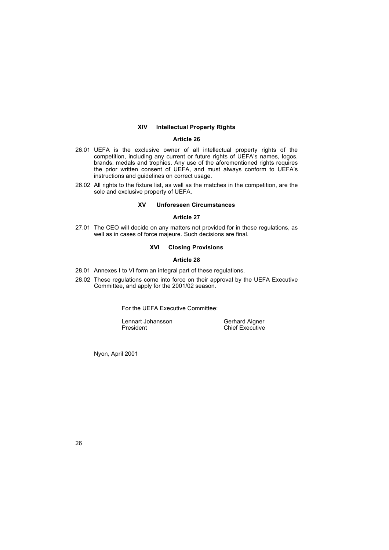# **XIV Intellectual Property Rights**

# **Article 26**

- 26.01 UEFA is the exclusive owner of all intellectual property rights of the competition, including any current or future rights of UEFAís names, logos, brands, medals and trophies. Any use of the aforementioned rights requires the prior written consent of UEFA, and must always conform to UEFAís instructions and guidelines on correct usage.
- 26.02 All rights to the fixture list, as well as the matches in the competition, are the sole and exclusive property of UEFA.

# **XV Unforeseen Circumstances**

# **Article 27**

27.01 The CEO will decide on any matters not provided for in these regulations, as well as in cases of force majeure*.* Such decisions are final.

# **XVI Closing Provisions**

### **Article 28**

- 28.01 Annexes I to VI form an integral part of these regulations.
- 28.02 These regulations come into force on their approval by the UEFA Executive Committee, and apply for the 2001/02 season.

For the UEFA Executive Committee:

Lennart Johansson Gerhard Aigner President Chief Executive

Nyon, April 2001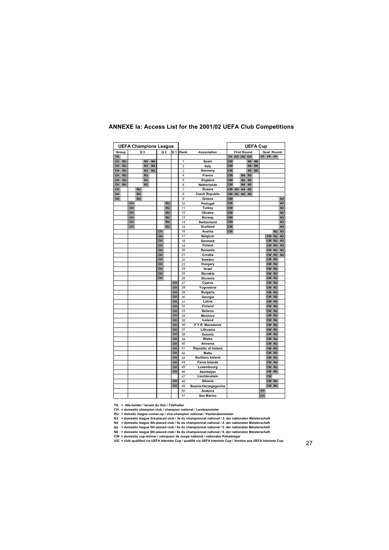|       |           |    |           |                | <b>UEFA Champions League</b> |    |                |           |                |                       |           |             |                    |                |           | <b>UEFA Cup</b> |           |             |                |
|-------|-----------|----|-----------|----------------|------------------------------|----|----------------|-----------|----------------|-----------------------|-----------|-------------|--------------------|----------------|-----------|-----------------|-----------|-------------|----------------|
| Group |           |    |           | Q <sub>3</sub> |                              |    | Q <sub>2</sub> | Q 1       | Rank.          | <b>Association</b>    |           |             | <b>First Round</b> |                |           |                 |           | Qual. Round |                |
| TH.   |           |    |           |                |                              |    |                |           |                |                       | <b>TH</b> | UIC UIC UIC |                    |                |           |                 | FP FP FP  |             |                |
| CH    | <b>RU</b> |    |           | N <sub>3</sub> | <b>N4</b>                    |    |                |           | 1              | Spain                 | <b>CW</b> |             |                    | <b>N5</b>      | <b>N6</b> |                 |           |             |                |
| CH    | <b>RU</b> |    |           | N <sub>3</sub> | <b>N4</b>                    |    |                |           | $\overline{c}$ | Italy                 | <b>CW</b> |             |                    | N <sub>5</sub> | <b>N6</b> |                 |           |             |                |
| CH    | <b>RU</b> |    |           | N <sub>3</sub> | <b>N4</b>                    |    |                |           | 3              | Germany               | <b>CW</b> |             |                    | <b>N5</b>      | <b>N6</b> |                 |           |             |                |
| CH    | <b>RU</b> |    |           | N <sub>3</sub> |                              |    |                |           | 4              | France                | <b>CW</b> |             | N <sub>4</sub>     | <b>N5</b>      |           |                 |           |             |                |
| CH    | <b>RU</b> |    |           | N <sub>3</sub> |                              |    |                |           | 5              | England               | <b>CW</b> |             | N <sub>4</sub>     | <b>N5</b>      |           |                 |           |             |                |
| CH    | <b>RU</b> |    |           | N <sub>3</sub> |                              |    |                |           | 6              | <b>Netherlands</b>    | <b>CW</b> |             | N <sub>4</sub>     | <b>N5</b>      |           |                 |           |             |                |
| CH    |           |    | <b>RU</b> |                |                              |    |                |           | $\overline{7}$ | Russia                | <b>CW</b> | N3          | N <sub>4</sub>     | <b>N5</b>      |           |                 |           |             |                |
| CH    |           |    | <b>RU</b> |                |                              |    |                |           | 8              | <b>Czech Republic</b> | <b>CW</b> | N3          | N <sub>4</sub>     | <b>N5</b>      |           |                 |           |             |                |
| CH    |           |    | <b>RU</b> |                |                              |    |                |           | 9              | Greece                | <b>CW</b> |             |                    |                |           |                 |           |             | N3             |
|       |           | CH |           |                |                              |    | <b>RU</b>      |           | 10             | Portugal              | <b>CW</b> |             |                    |                |           |                 |           |             | N <sub>3</sub> |
|       |           | CH |           |                |                              |    | <b>RU</b>      |           | 11             | <b>Turkey</b>         | <b>CW</b> |             |                    |                |           |                 |           |             | N <sub>3</sub> |
|       |           | CH |           |                |                              |    | <b>RU</b>      |           | 12             | <b>Ukraine</b>        | <b>CW</b> |             |                    |                |           |                 |           |             | N <sub>3</sub> |
|       |           | CH |           |                |                              |    | <b>RU</b>      |           | 13             | Norway                | <b>CW</b> |             |                    |                |           |                 |           |             | N <sub>3</sub> |
|       |           | CH |           |                |                              |    | <b>RU</b>      |           | 14             | Switzerland           | <b>CW</b> |             |                    |                |           |                 |           |             | N <sub>3</sub> |
|       |           | CH |           |                |                              |    | <b>RU</b>      |           | 15             | <b>Scotland</b>       | <b>CW</b> |             |                    |                |           |                 |           |             | N <sub>3</sub> |
|       |           |    |           |                |                              | CH |                |           | 16             | Austria               | <b>CW</b> |             |                    |                |           |                 |           | <b>RU</b>   | N <sub>3</sub> |
|       |           |    |           |                |                              | CH |                |           | 17             | Belgium               |           |             |                    |                |           |                 | <b>CW</b> | <b>RU</b>   | N <sub>3</sub> |
|       |           |    |           |                |                              | CH |                |           | 18             | <b>Denmark</b>        |           |             |                    |                |           |                 | CW        | <b>RU</b>   | N <sub>3</sub> |
|       |           |    |           |                |                              | CH |                |           | 19             | Poland                |           |             |                    |                |           |                 | <b>CW</b> | <b>RU</b>   | N <sub>3</sub> |
|       |           |    |           |                |                              | CH |                |           | 20             | Romania               |           |             |                    |                |           |                 | <b>CW</b> | <b>RU</b>   | N <sub>3</sub> |
|       |           |    |           |                |                              | CH |                |           | 21             | Croatia               |           |             |                    |                |           |                 | <b>CW</b> | <b>RU</b>   | N <sub>3</sub> |
|       |           |    |           |                |                              | CH |                |           | 22             | Sweden                |           |             |                    |                |           |                 | <b>CW</b> | <b>RU</b>   |                |
|       |           |    |           |                |                              | CH |                |           | 23             |                       |           |             |                    |                |           |                 | CW        | <b>RU</b>   |                |
|       |           |    |           |                |                              | CH |                |           | 24             | Hungary<br>Israel     |           |             |                    |                |           |                 | <b>CW</b> | <b>RU</b>   |                |
|       |           |    |           |                |                              | CH |                |           | 25             |                       |           |             |                    |                |           |                 |           |             |                |
|       |           |    |           |                |                              |    |                |           |                | Slovakia              |           |             |                    |                |           |                 | <b>CW</b> | <b>RU</b>   |                |
|       |           |    |           |                |                              | CH |                |           | 26             | Slovenia              |           |             |                    |                |           |                 | <b>CW</b> | <b>RU</b>   |                |
|       |           |    |           |                |                              |    |                | <b>CH</b> | 27             | Cyprus                |           |             |                    |                |           |                 | CW        | <b>RU</b>   |                |
|       |           |    |           |                |                              |    |                | <b>CH</b> | 28             | Yugoslavia            |           |             |                    |                |           |                 | CW        | <b>RU</b>   |                |
|       |           |    |           |                |                              |    |                | <b>CH</b> | 29             | Bulgaria              |           |             |                    |                |           |                 | CW        | <b>RU</b>   |                |
|       |           |    |           |                |                              |    |                | CH        | 30             | Georgia               |           |             |                    |                |           |                 | <b>CW</b> | <b>RU</b>   |                |
|       |           |    |           |                |                              |    |                | CH        | 31             | Latvia                |           |             |                    |                |           |                 | <b>CW</b> | <b>RU</b>   |                |
|       |           |    |           |                |                              |    |                | <b>CH</b> | 32             | Finland               |           |             |                    |                |           |                 | <b>CW</b> | <b>RU</b>   |                |
|       |           |    |           |                |                              |    |                | <b>CH</b> | 33             | <b>Belarus</b>        |           |             |                    |                |           |                 | <b>CW</b> | <b>RU</b>   |                |
|       |           |    |           |                |                              |    |                | CH        | 34             | Moldova               |           |             |                    |                |           |                 | <b>CW</b> | <b>RU</b>   |                |
|       |           |    |           |                |                              |    |                | CH        | 35             | Iceland               |           |             |                    |                |           |                 | <b>CW</b> | <b>RU</b>   |                |
|       |           |    |           |                |                              |    |                | CH        | 36             | F.Y.R. Macedonia      |           |             |                    |                |           |                 | <b>CW</b> | <b>RU</b>   |                |
|       |           |    |           |                |                              |    |                | CH        | 37             | Lithuania             |           |             |                    |                |           |                 | <b>CW</b> | <b>RU</b>   |                |
|       |           |    |           |                |                              |    |                | CH        | 38             | Estonia               |           |             |                    |                |           |                 | <b>CW</b> | <b>RU</b>   |                |
|       |           |    |           |                |                              |    |                | <b>CH</b> | 39             | Wales                 |           |             |                    |                |           |                 | <b>CW</b> | <b>RU</b>   |                |
|       |           |    |           |                |                              |    |                | <b>CH</b> | 40             | Armenia               |           |             |                    |                |           |                 | <b>CW</b> | <b>RU</b>   |                |
|       |           |    |           |                |                              |    |                | <b>CH</b> | 41             | Republic of Ireland   |           |             |                    |                |           |                 | <b>CW</b> | <b>RU</b>   |                |
|       |           |    |           |                |                              |    |                | CH        | 42             | Malta                 |           |             |                    |                |           |                 | <b>CW</b> | <b>RU</b>   |                |
|       |           |    |           |                |                              |    |                | <b>CH</b> | 43             | Northern Ireland      |           |             |                    |                |           |                 | <b>CW</b> | <b>RU</b>   |                |
|       |           |    |           |                |                              |    |                | <b>CH</b> | 44             | <b>Faroe Islands</b>  |           |             |                    |                |           |                 | <b>CW</b> | <b>RU</b>   |                |
|       |           |    |           |                |                              |    |                | <b>CH</b> | 45             | Luxembourg            |           |             |                    |                |           |                 | <b>CW</b> | <b>RU</b>   |                |
|       |           |    |           |                |                              |    |                | <b>CH</b> | 46             | Azerbaijan            |           |             |                    |                |           |                 | <b>CW</b> | <b>RU</b>   |                |
|       |           |    |           |                |                              |    |                |           | 47             | Liechtenstein         |           |             |                    |                |           |                 | <b>CW</b> |             |                |
|       |           |    |           |                |                              |    |                | <b>CH</b> | 48             | Albania               |           |             |                    |                |           |                 | <b>CW</b> | <b>RU</b>   |                |
|       |           |    |           |                |                              |    |                | <b>CH</b> | 49             | Bosnia-Herzegegovina  |           |             |                    |                |           |                 | <b>CW</b> | <b>RU</b>   |                |
|       |           |    |           |                |                              |    |                |           | 50             | Andorra               |           |             |                    |                |           | CH              |           |             |                |
|       |           |    |           |                |                              |    |                |           | 51             | San Marino            |           |             |                    |                |           | <b>CH</b>       |           |             |                |

# **ANNEXE Ia: Access List for the 2001/02 UEFA Club Competitions**

TH = title-holder / tenant du titre / Titelhalter<br>CH = domestic champion club / champion national / Landesmeister<br>RU = dometic league runner-up / vice-champion national / Vizelandesmeister<br>RU = dometic league 3rd-placed cl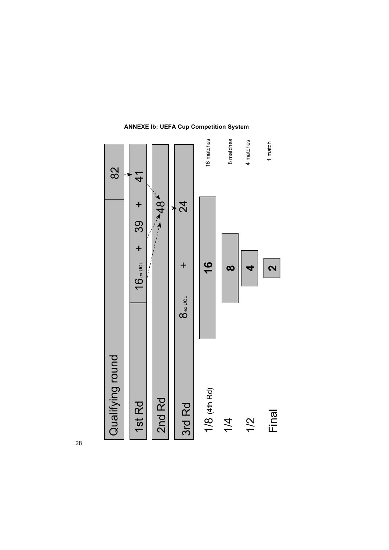

# **ANNEXE Ib: UEFA Cup Competition System**

28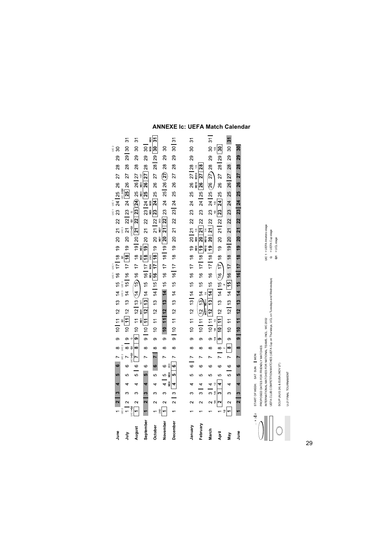| gung<br>J          | $\begin{array}{c c} \hline 2 \\ \hline \end{array}$ |                                                                                                |                | 4 | <u>In</u>       |                |                |          |   |  |                                                                                       |  | UIC <sub>1</sub> UIC | 6 7 8 9 10 11 12 13 14 15 16 17 18 19 20 21 22 23 24 25 26 27 $\frac{1}{25}$ 26 27 $\frac{1}{25}$ $\frac{1}{25}$ $\frac{1}{25}$ $\frac{1}{25}$ $\frac{1}{25}$ $\frac{1}{25}$ $\frac{1}{25}$ $\frac{1}{25}$ $\frac{1}{25}$ $\frac{1}{25}$ $\frac{1}{25}$ $\frac{1}{25}$ $\frac{1}{25}$ |                              |                  |  | UIC <sub>1</sub> UIC |  |       | న్ల         | 29 | UIC <sub>2</sub><br>30 |                |
|--------------------|-----------------------------------------------------|------------------------------------------------------------------------------------------------|----------------|---|-----------------|----------------|----------------|----------|---|--|---------------------------------------------------------------------------------------|--|----------------------|---------------------------------------------------------------------------------------------------------------------------------------------------------------------------------------------------------------------------------------------------------------------------------------|------------------------------|------------------|--|----------------------|--|-------|-------------|----|------------------------|----------------|
| 言                  |                                                     | $\sim$                                                                                         |                |   | 5               | 6              |                |          |   |  |                                                                                       |  |                      |                                                                                                                                                                                                                                                                                       |                              |                  |  |                      |  |       | 28 29 30    |    |                        | 5              |
| August             | JIC 4+Q2                                            | $\sim$                                                                                         | ∞              | 4 | မာ              | $\circ$        |                |          |   |  |                                                                                       |  |                      | <b>9</b> 10 11 12   13 (14 15) 16 17 18 19   20 <mark>21 22   23</mark> 24 25 26   27                                                                                                                                                                                                 |                              |                  |  |                      |  |       | 28 29 30    |    |                        | $\overline{5}$ |
| September          |                                                     | $\sim$                                                                                         | $\mathfrak{g}$ | 4 | <b>မာ</b>       | $\circ$        |                | ∞        |   |  |                                                                                       |  |                      | 9   10 <mark>[11 12   13</mark>   14 15 16   17 <mark>[1<u>8 19</u></mark> 20 21 22 23   24 <mark>25 26   27</mark> 28 29 30                                                                                                                                                          |                              |                  |  |                      |  |       |             |    |                        |                |
| October            |                                                     |                                                                                                | S              |   | ဖ               | $6$ 7 8        |                |          |   |  |                                                                                       |  |                      | $\frac{1}{3}$<br>9 10 11 12 13 14 15 16 17 18 19 20 21 22 23 24 25 26 27 28 29 30<br>9 10 11 12 13 14 15 16 17 18 19 18 18 18 19 20 380 24 25 26 27 28 29 30                                                                                                                          |                              |                  |  |                      |  |       |             |    |                        | ≩∣ু            |
| November           |                                                     |                                                                                                | က              | 4 | $\overline{c}$  | $\circ$<br>3RD | $\overline{ }$ | $\infty$ |   |  |                                                                                       |  |                      | 9 10 11 12 13 14 15 16 17 18 19 20 21 22 23 24 25 26 $\frac{\gamma_1}{22}$ 28 29                                                                                                                                                                                                      |                              |                  |  |                      |  |       |             |    | $\frac{8}{3}$          |                |
| December           |                                                     | $\overline{\mathbf{r}}$                                                                        | $\infty$       | 4 | D8<br>DR<br>LO, | ဖ              | $\overline{ }$ | ∞        |   |  |                                                                                       |  |                      | 9    10 11 12 13 14 15 16    17 18 19 20 21 22 23    24 25 26 27 28 29 30    31                                                                                                                                                                                                       |                              |                  |  |                      |  |       |             |    |                        |                |
|                    |                                                     |                                                                                                |                |   |                 |                |                |          |   |  |                                                                                       |  |                      |                                                                                                                                                                                                                                                                                       |                              |                  |  |                      |  |       |             |    |                        |                |
| January            |                                                     | 2                                                                                              | ω              | d | မာ              | $\overline{6}$ | $\overline{a}$ | $\infty$ |   |  |                                                                                       |  |                      | 9 10 11 12 13 14 15 16 17 18 20 21 22 23 24 25 26 27 28 29 30<br>was mapped was also and the set of the set of the set of the set of the set of the set of the set of the set of the set of the set of the set of the set of the                                                      |                              |                  |  |                      |  |       |             |    |                        | 5              |
| February           |                                                     | $\sim$                                                                                         | $\frac{1}{3}$  | 4 | ю               | ဖ              |                | ∞        |   |  |                                                                                       |  |                      |                                                                                                                                                                                                                                                                                       |                              | <b>ID12 MD12</b> |  |                      |  | 27 28 |             |    |                        |                |
| March              |                                                     |                                                                                                | ო ≸            | 4 | Ю               | ဖ              |                | ∞        |   |  |                                                                                       |  |                      | 9 10   11 $\boxed{12 \overline{13} \overline{144}}$ 15 16 17   18   19 20   21   22 23 24   25 $\boxed{26}$ $\boxed{27}$ 28 29 30 31                                                                                                                                                  |                              |                  |  |                      |  |       |             |    |                        |                |
| April              |                                                     | N                                                                                              |                |   | Ю               | ဖ              | $\frac{8}{7}$  |          | თ |  |                                                                                       |  |                      | $\frac{10}{11}$ 12 13 14   15 (16 17) 18 19 20 21   22 $\boxed{23 \ \ 24}$ 25 26 27 28   29 $\boxed{30}$                                                                                                                                                                              |                              |                  |  |                      |  |       |             |    |                        |                |
| Nay                | $\overline{a}$                                      | $\sim$                                                                                         |                | 4 | ဖ               | $\circ$        | $\overline{z}$ |          |   |  |                                                                                       |  |                      | <b>8</b> 9 10 11 12 13 14 15 16 17 18 19 20 21 22 23 24 25 26 27                                                                                                                                                                                                                      |                              |                  |  |                      |  |       | 28 29 30 31 |    |                        |                |
| June               |                                                     |                                                                                                |                | 4 | <u>In</u>       | ဖ              |                | $\infty$ |   |  |                                                                                       |  |                      | 9   10 11 12 13 14 15 16   17 18 19 20 21 22 23   24 25 26                                                                                                                                                                                                                            |                              |                  |  |                      |  | 27    | 28          | 29 | $\overline{30}$        |                |
|                    |                                                     |                                                                                                |                |   |                 |                |                |          |   |  |                                                                                       |  |                      |                                                                                                                                                                                                                                                                                       |                              |                  |  |                      |  |       |             |    |                        |                |
| $\therefore$ x y z |                                                     | START OF WEEK: SAT SUN   MON                                                                   |                |   |                 |                |                |          |   |  |                                                                                       |  |                      |                                                                                                                                                                                                                                                                                       |                              |                  |  |                      |  |       |             |    |                        |                |
|                    |                                                     | INTERNATIONAL MATCHES FOR NATIONAL TEAMS, INCL. WC 2002<br>PROPOSED DATES FOR FRIENDLY MATCHES |                |   |                 |                |                |          |   |  |                                                                                       |  |                      |                                                                                                                                                                                                                                                                                       | JIC 1 = UEFA Intertoto stage |                  |  |                      |  |       |             |    |                        |                |
|                    |                                                     |                                                                                                |                |   |                 |                |                |          |   |  | JEFA CLUB COMPETITION MATCHES (UEFA Cup on Thursdays, UCL on Tuesdays and Wednesdays) |  |                      | d                                                                                                                                                                                                                                                                                     |                              | = UEFA Cup stage |  |                      |  |       |             |    |                        |                |
|                    |                                                     | SCUP (AUG 24) & EUSA (NOV 27)                                                                  |                |   |                 |                |                |          |   |  |                                                                                       |  |                      | ā                                                                                                                                                                                                                                                                                     | = UCL stage                  |                  |  |                      |  |       |             |    |                        |                |

# **ANNEXE Ic: UEFA Match Calendar**

29

SCUP (AUG 24) & EUSA (NOV 27)<br>U-21 FINAL TOURNAMENT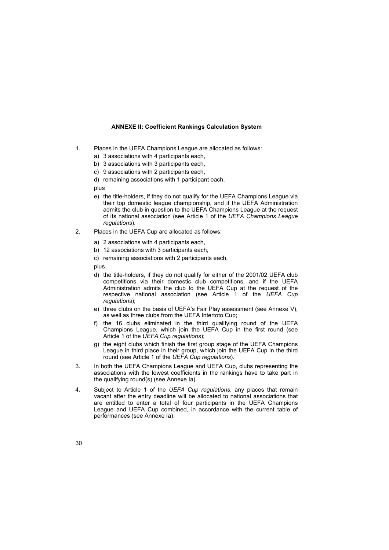# **ANNEXE II: Coefficient Rankings Calculation System**

- 1. Places in the UEFA Champions League are allocated as follows:
	- a) 3 associations with 4 participants each,
	- b) 3 associations with 3 participants each,
	- c) 9 associations with 2 participants each,
	- d) remaining associations with 1 participant each,

plus

- e) the title-holders, if they do not qualify for the UEFA Champions League via their top domestic league championship, and if the UEFA Administration admits the club in question to the UEFA Champions League at the request of its national association (see Article 1 of the *UEFA Champions League regulations*).
- 2. Places in the UEFA Cup are allocated as follows:
	- a) 2 associations with 4 participants each,
	- b) 12 associations with 3 participants each,
	- c) remaining associations with 2 participants each,

plus

- d) the title-holders, if they do not qualify for either of the 2001/02 UEFA club competitions via their domestic club competitions, and if the UEFA Administration admits the club to the UEFA Cup at the request of the respective national association (see Article 1 of the *UEFA Cup regulations*);
- e) three clubs on the basis of UEFA's Fair Play assessment (see Annexe V), as well as three clubs from the UEFA Intertoto Cup;
- f) the 16 clubs eliminated in the third qualifying round of the UEFA Champions League, which join the UEFA Cup in the first round (see Article 1 of the *UEFA Cup regulations*);
- g) the eight clubs which finish the first group stage of the UEFA Champions League in third place in their group, which join the UEFA Cup in the third round (see Article 1 of the *UEFA Cup regulations*).
- 3. In both the UEFA Champions League and UEFA Cup, clubs representing the associations with the lowest coefficients in the rankings have to take part in the qualifying round(s) (see Annexe Ia).
- 4. Subject to Article 1 of the *UEFA Cup regulations*, any places that remain vacant after the entry deadline will be allocated to national associations that are entitled to enter a total of four participants in the UEFA Champions League and UEFA Cup combined, in accordance with the current table of performances (see Annexe Ia).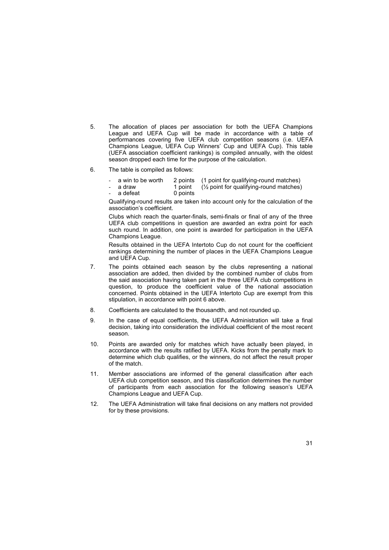- 5. The allocation of places per association for both the UEFA Champions League and UEFA Cup will be made in accordance with a table of performances covering five UEFA club competition seasons (i.e. UEFA Champions League, UEFA Cup Winnersí Cup and UEFA Cup). This table (UEFA association coefficient rankings) is compiled annually, with the oldest season dropped each time for the purpose of the calculation.
- 6. The table is compiled as follows:
	- a win to be worth 2 points (1 point for qualifying-round matches)
		- a draw 1 point  $(\frac{1}{2})$  point for qualifying-round matches)
	- a defeat 0 points

Qualifying-round results are taken into account only for the calculation of the association's coefficient.

Clubs which reach the quarter-finals, semi-finals or final of any of the three UEFA club competitions in question are awarded an extra point for each such round. In addition, one point is awarded for participation in the UEFA Champions League.

Results obtained in the UEFA Intertoto Cup do not count for the coefficient rankings determining the number of places in the UEFA Champions League and UEFA Cup.

- 7. The points obtained each season by the clubs representing a national association are added, then divided by the combined number of clubs from the said association having taken part in the three UEFA club competitions in question, to produce the coefficient value of the national association concerned. Points obtained in the UEFA Intertoto Cup are exempt from this stipulation, in accordance with point 6 above.
- 8. Coefficients are calculated to the thousandth, and not rounded up.
- 9. In the case of equal coefficients, the UEFA Administration will take a final decision, taking into consideration the individual coefficient of the most recent season.
- 10. Points are awarded only for matches which have actually been played, in accordance with the results ratified by UEFA. Kicks from the penalty mark to determine which club qualifies, or the winners, do not affect the result proper of the match.
- 11. Member associations are informed of the general classification after each UEFA club competition season, and this classification determines the number of participants from each association for the following seasonís UEFA Champions League and UEFA Cup.
- 12. The UEFA Administration will take final decisions on any matters not provided for by these provisions.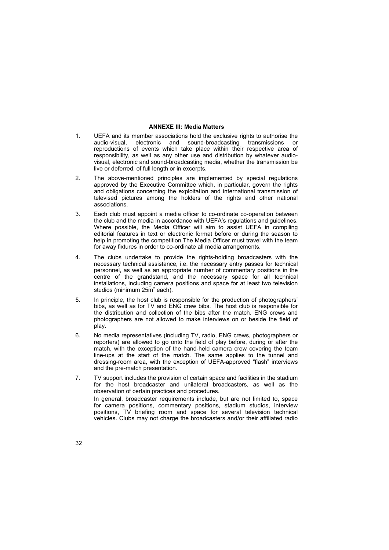# **ANNEXE III: Media Matters**

- 1. UEFA and its member associations hold the exclusive rights to authorise the audio-visual, electronic and sound-broadcasting transmissions or reproductions of events which take place within their respective area of responsibility, as well as any other use and distribution by whatever audiovisual, electronic and sound-broadcasting media, whether the transmission be live or deferred, of full length or in excerpts.
- 2. The above-mentioned principles are implemented by special regulations approved by the Executive Committee which, in particular, govern the rights and obligations concerning the exploitation and international transmission of televised pictures among the holders of the rights and other national associations.
- 3. Each club must appoint a media officer to co-ordinate co-operation between the club and the media in accordance with UEFA's regulations and guidelines. Where possible, the Media Officer will aim to assist UEFA in compiling editorial features in text or electronic format before or during the season to help in promoting the competition.The Media Officer must travel with the team for away fixtures in order to co-ordinate all media arrangements.
- 4. The clubs undertake to provide the rights-holding broadcasters with the necessary technical assistance, i.e. the necessary entry passes for technical personnel, as well as an appropriate number of commentary positions in the centre of the grandstand, and the necessary space for all technical installations, including camera positions and space for at least two television studios (minimum 25m<sup>2</sup> each).
- 5. In principle, the host club is responsible for the production of photographersí bibs, as well as for TV and ENG crew bibs. The host club is responsible for the distribution and collection of the bibs after the match. ENG crews and photographers are not allowed to make interviews on or beside the field of play.
- 6. No media representatives (including TV, radio, ENG crews, photographers or reporters) are allowed to go onto the field of play before, during or after the match, with the exception of the hand-held camera crew covering the team line-ups at the start of the match. The same applies to the tunnel and dressing-room area, with the exception of UEFA-approved "flash" interviews and the pre-match presentation.
- 7. TV support includes the provision of certain space and facilities in the stadium for the host broadcaster and unilateral broadcasters, as well as the observation of certain practices and procedures. In general, broadcaster requirements include, but are not limited to, space for camera positions, commentary positions, stadium studios, interview positions, TV briefing room and space for several television technical vehicles. Clubs may not charge the broadcasters and/or their affiliated radio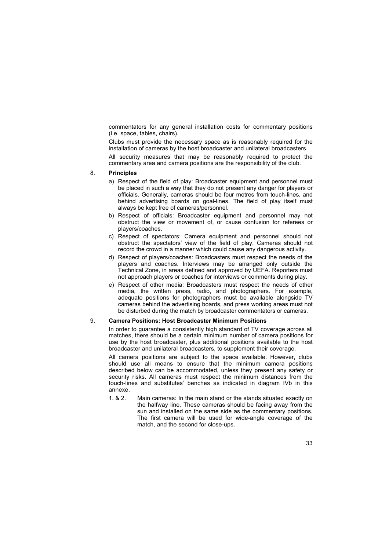commentators for any general installation costs for commentary positions (i.e. space, tables, chairs).

Clubs must provide the necessary space as is reasonably required for the installation of cameras by the host broadcaster and unilateral broadcasters.

All security measures that may be reasonably required to protect the commentary area and camera positions are the responsibility of the club.

# 8. **Principles**

- a) Respect of the field of play: Broadcaster equipment and personnel must be placed in such a way that they do not present any danger for players or officials. Generally, cameras should be four metres from touch-lines, and behind advertising boards on goal-lines. The field of play itself must always be kept free of cameras/personnel.
- b) Respect of officials: Broadcaster equipment and personnel may not obstruct the view or movement of, or cause confusion for referees or players/coaches.
- c) Respect of spectators: Camera equipment and personnel should not obstruct the spectators' view of the field of play. Cameras should not record the crowd in a manner which could cause any dangerous activity.
- d) Respect of players/coaches: Broadcasters must respect the needs of the players and coaches. Interviews may be arranged only outside the Technical Zone, in areas defined and approved by UEFA. Reporters must not approach players or coaches for interviews or comments during play.
- e) Respect of other media: Broadcasters must respect the needs of other media, the written press, radio, and photographers. For example, adequate positions for photographers must be available alongside TV cameras behind the advertising boards, and press working areas must not be disturbed during the match by broadcaster commentators or cameras.

### 9. **Camera Positions: Host Broadcaster Minimum Positions**

In order to guarantee a consistently high standard of TV coverage across all matches, there should be a certain minimum number of camera positions for use by the host broadcaster, plus additional positions available to the host broadcaster and unilateral broadcasters, to supplement their coverage.

All camera positions are subject to the space available. However, clubs should use all means to ensure that the minimum camera positions described below can be accommodated, unless they present any safety or security risks. All cameras must respect the minimum distances from the touch-lines and substitutes' benches as indicated in diagram IVb in this annexe.

1. & 2. Main cameras: In the main stand or the stands situated exactly on the halfway line. These cameras should be facing away from the sun and installed on the same side as the commentary positions. The first camera will be used for wide-angle coverage of the match, and the second for close-ups.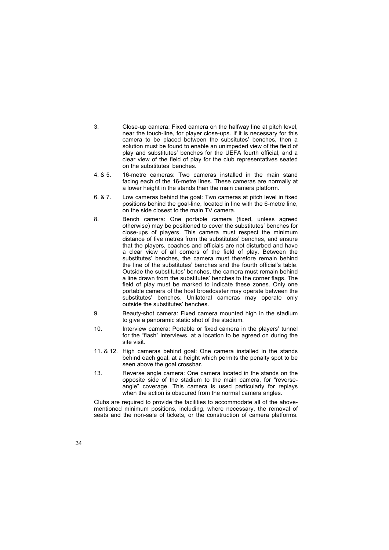- 3. Close-up camera: Fixed camera on the halfway line at pitch level, near the touch-line, for player close-ups. If it is necessary for this camera to be placed between the subsitutes' benches, then a solution must be found to enable an unimpeded view of the field of play and substitutes' benches for the UEFA fourth official, and a clear view of the field of play for the club representatives seated on the substitutes' benches.
- 4. & 5. 16-metre cameras: Two cameras installed in the main stand facing each of the 16-metre lines. These cameras are normally at a lower height in the stands than the main camera platform.
- 6. & 7. Low cameras behind the goal: Two cameras at pitch level in fixed positions behind the goal-line, located in line with the 6-metre line, on the side closest to the main TV camera.
- 8. Bench camera: One portable camera (fixed, unless agreed otherwise) may be positioned to cover the substitutes' benches for close-ups of players. This camera must respect the minimum distance of five metres from the substitutes' benches, and ensure that the players, coaches and officials are not disturbed and have a clear view of all corners of the field of play. Between the substitutes' benches, the camera must therefore remain behind the line of the substitutes' benches and the fourth official's table. Outside the substitutes' benches, the camera must remain behind a line drawn from the substitutesí benches to the corner flags. The field of play must be marked to indicate these zones. Only one portable camera of the host broadcaster may operate between the substitutes' benches. Unilateral cameras may operate only outside the substitutes' benches.
- 9. Beauty-shot camera: Fixed camera mounted high in the stadium to give a panoramic static shot of the stadium.
- 10. Interview camera: Portable or fixed camera in the players' tunnel for the "flash" interviews, at a location to be agreed on during the site visit.
- 11. & 12. High cameras behind goal: One camera installed in the stands behind each goal, at a height which permits the penalty spot to be seen above the goal crossbar.
- 13. Reverse angle camera: One camera located in the stands on the opposite side of the stadium to the main camera, for "reverseangle" coverage. This camera is used particularly for replays when the action is obscured from the normal camera angles.

Clubs are required to provide the facilities to accommodate all of the abovementioned minimum positions, including, where necessary, the removal of seats and the non-sale of tickets, or the construction of camera platforms.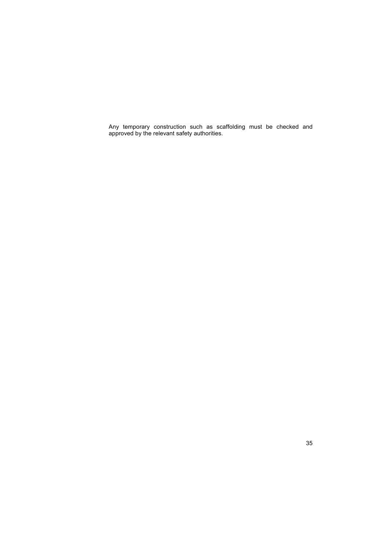Any temporary construction such as scaffolding must be checked and approved by the relevant safety authorities.

35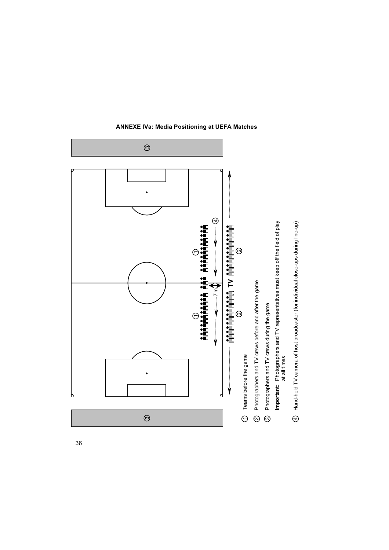

**ANNEXE IVa: Media Positioning at UEFA Matches**

36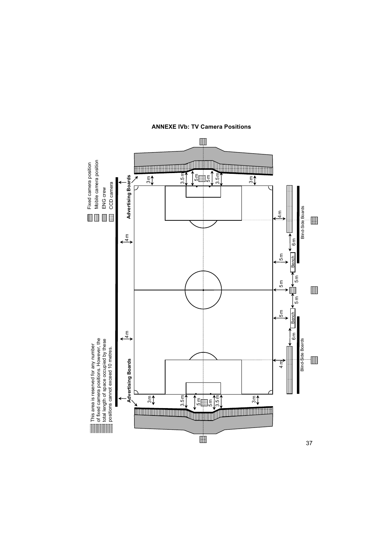

**ANNEXE IVb: TV Camera Positions**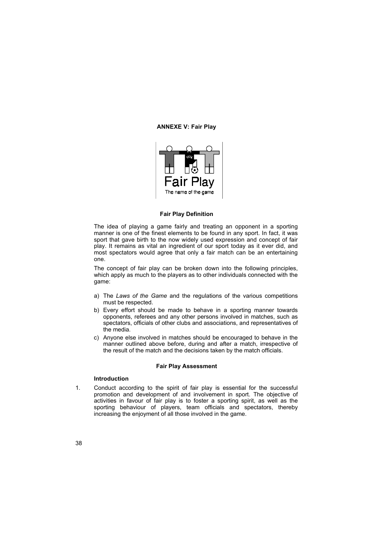# **ANNEXE V: Fair Play**



# **Fair Play Definition**

The idea of playing a game fairly and treating an opponent in a sporting manner is one of the finest elements to be found in any sport. In fact, it was sport that gave birth to the now widely used expression and concept of fair play. It remains as vital an ingredient of our sport today as it ever did, and most spectators would agree that only a fair match can be an entertaining one.

The concept of fair play can be broken down into the following principles, which apply as much to the players as to other individuals connected with the game:

- a) The *Laws of the Game* and the regulations of the various competitions must be respected.
- b) Every effort should be made to behave in a sporting manner towards opponents, referees and any other persons involved in matches, such as spectators, officials of other clubs and associations, and representatives of the media.
- c) Anyone else involved in matches should be encouraged to behave in the manner outlined above before, during and after a match, irrespective of the result of the match and the decisions taken by the match officials.

#### **Fair Play Assessment**

# **Introduction**

1. Conduct according to the spirit of fair play is essential for the successful promotion and development of and involvement in sport. The objective of activities in favour of fair play is to foster a sporting spirit, as well as the sporting behaviour of players, team officials and spectators, thereby increasing the enjoyment of all those involved in the game.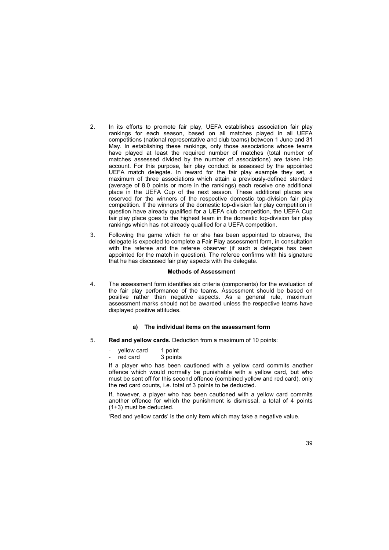- 2. In its efforts to promote fair play, UEFA establishes association fair play rankings for each season, based on all matches played in all UEFA competitions (national representative and club teams) between 1 June and 31 May. In establishing these rankings, only those associations whose teams have played at least the required number of matches (total number of matches assessed divided by the number of associations) are taken into account. For this purpose, fair play conduct is assessed by the appointed UEFA match delegate. In reward for the fair play example they set, a maximum of three associations which attain a previously-defined standard (average of 8.0 points or more in the rankings) each receive one additional place in the UEFA Cup of the next season. These additional places are reserved for the winners of the respective domestic top-division fair play competition. If the winners of the domestic top-division fair play competition in question have already qualified for a UEFA club competition, the UEFA Cup fair play place goes to the highest team in the domestic top-division fair play rankings which has not already qualified for a UEFA competition.
- 3. Following the game which he or she has been appointed to observe, the delegate is expected to complete a Fair Play assessment form, in consultation with the referee and the referee observer (if such a delegate has been appointed for the match in question). The referee confirms with his signature that he has discussed fair play aspects with the delegate.

### **Methods of Assessment**

4. The assessment form identifies six criteria (components) for the evaluation of the fair play performance of the teams. Assessment should be based on positive rather than negative aspects. As a general rule, maximum assessment marks should not be awarded unless the respective teams have displayed positive attitudes.

# **a) The individual items on the assessment form**

- 5. **Red and yellow cards.** Deduction from a maximum of 10 points:
	- yellow card 1 point<br>red card 3 points
	- red card

If a player who has been cautioned with a yellow card commits another offence which would normally be punishable with a yellow card, but who must be sent off for this second offence (combined yellow and red card), only the red card counts, i.e. total of 3 points to be deducted.

If, however, a player who has been cautioned with a yellow card commits another offence for which the punishment is dismissal, a total of 4 points (1+3) must be deducted.

'Red and yellow cards' is the only item which may take a negative value.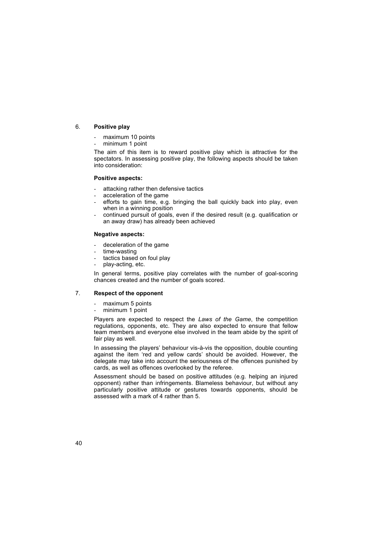# 6. **Positive play**

- maximum 10 points
- minimum 1 point

The aim of this item is to reward positive play which is attractive for the spectators. In assessing positive play, the following aspects should be taken into consideration:

# **Positive aspects:**

- attacking rather then defensive tactics
- acceleration of the game
- efforts to gain time, e.g. bringing the ball quickly back into play, even when in a winning position
- continued pursuit of goals, even if the desired result (e.g. qualification or an away draw) has already been achieved

### **Negative aspects:**

- deceleration of the game
- time-wasting
- tactics based on foul play
- play-acting, etc.

In general terms, positive play correlates with the number of goal-scoring chances created and the number of goals scored.

# 7. **Respect of the opponent**

- maximum 5 points
- minimum 1 point

Players are expected to respect the *Laws of the Game*, the competition raytive are expected to respect the Earth of the Barnett, the components regulations, opponents, etc. They are also expected to ensure that fellow team members and everyone else involved in the team abide by the spirit of fair play as well.

In assessing the players' behaviour vis-à-vis the opposition, double counting against the item 'red and yellow cards' should be avoided. However, the delegate may take into account the seriousness of the offences punished by cards, as well as offences overlooked by the referee.

Assessment should be based on positive attitudes (e.g. helping an injured opponent) rather than infringements. Blameless behaviour, but without any particularly positive attitude or gestures towards opponents, should be assessed with a mark of 4 rather than 5.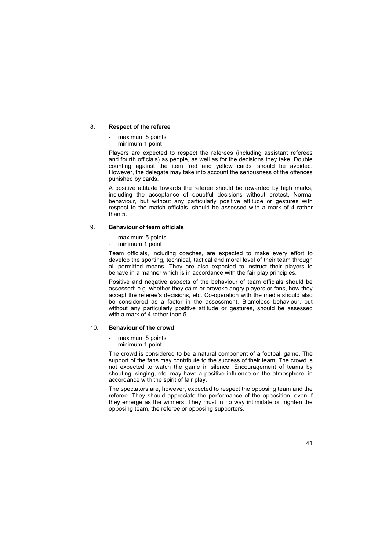# 8. **Respect of the referee**

- maximum 5 points
- minimum 1 point

Players are expected to respect the referees (including assistant referees and fourth officials) as people, as well as for the decisions they take. Double counting against the item 'red and yellow cards' should be avoided. However, the delegate may take into account the seriousness of the offences punished by cards.

A positive attitude towards the referee should be rewarded by high marks, including the acceptance of doubtful decisions without protest. Normal behaviour, but without any particularly positive attitude or gestures with respect to the match officials, should be assessed with a mark of 4 rather than 5.

# 9. **Behaviour of team officials**

- maximum 5 points
- minimum 1 point

Team officials, including coaches, are expected to make every effort to develop the sporting, technical, tactical and moral level of their team through all permitted means. They are also expected to instruct their players to behave in a manner which is in accordance with the fair play principles.

Positive and negative aspects of the behaviour of team officials should be assessed; e.g. whether they calm or provoke angry players or fans, how they accept the referee's decisions, etc. Co-operation with the media should also be considered as a factor in the assessment. Blameless behaviour, but without any particularly positive attitude or gestures, should be assessed with a mark of 4 rather than 5.

# 10. **Behaviour of the crowd**

- maximum 5 points
- minimum 1 point

The crowd is considered to be a natural component of a football game. The support of the fans may contribute to the success of their team. The crowd is not expected to watch the game in silence. Encouragement of teams by shouting, singing, etc. may have a positive influence on the atmosphere, in accordance with the spirit of fair play.

The spectators are, however, expected to respect the opposing team and the referee. They should appreciate the performance of the opposition, even if they emerge as the winners. They must in no way intimidate or frighten the opposing team, the referee or opposing supporters.

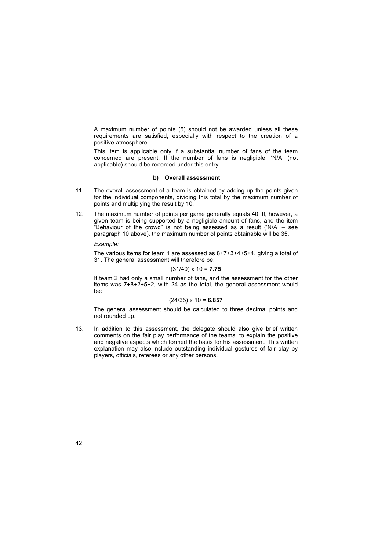A maximum number of points (5) should not be awarded unless all these requirements are satisfied, especially with respect to the creation of a positive atmosphere.

This item is applicable only if a substantial number of fans of the team concerned are present. If the number of fans is negligible, 'N/A' (not applicable) should be recorded under this entry.

# **b) Overall assessment**

- 11. The overall assessment of a team is obtained by adding up the points given for the individual components, dividing this total by the maximum number of points and multiplying the result by 10.
- 12. The maximum number of points per game generally equals 40. If, however, a given team is being supported by a negligible amount of fans, and the item "Behaviour of the crowd" is not being assessed as a result ('N/A'  $-$  see paragraph 10 above), the maximum number of points obtainable will be 35.

#### *Example:*

The various items for team 1 are assessed as 8+7+3+4+5+4, giving a total of 31. The general assessment will therefore be:

$$
(31/40) \times 10 = 7.75
$$

If team 2 had only a small number of fans, and the assessment for the other items was  $7+8+2+5+2$ , with 24 as the total, the general assessment would be:

### (24/35) x 10 = **6.857**

The general assessment should be calculated to three decimal points and not rounded up.

13. In addition to this assessment, the delegate should also give brief written comments on the fair play performance of the teams, to explain the positive and negative aspects which formed the basis for his assessment. This written explanation may also include outstanding individual gestures of fair play by players, officials, referees or any other persons.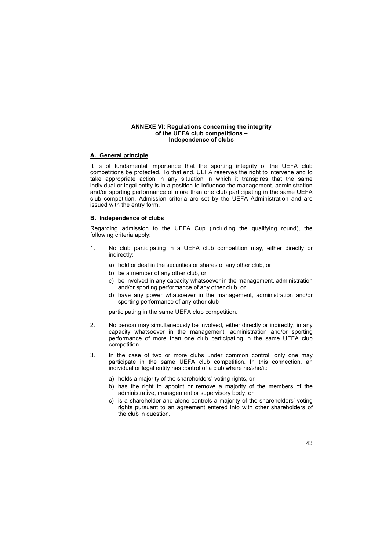### **ANNEXE VI: Regulations concerning the integrity** of the UEFA club competitions -**Independence of clubs**

# **A. General principle**

It is of fundamental importance that the sporting integrity of the UEFA club competitions be protected. To that end, UEFA reserves the right to intervene and to take appropriate action in any situation in which it transpires that the same individual or legal entity is in a position to influence the management, administration and/or sporting performance of more than one club participating in the same UEFA club competition. Admission criteria are set by the UEFA Administration and are issued with the entry form.

# **B. Independence of clubs**

Regarding admission to the UEFA Cup (including the qualifying round), the following criteria apply:

- 1. No club participating in a UEFA club competition may, either directly or indirectly:
	- a) hold or deal in the securities or shares of any other club, or
	- b) be a member of any other club, or
	- c) be involved in any capacity whatsoever in the management, administration and/or sporting performance of any other club, or
	- d) have any power whatsoever in the management, administration and/or sporting performance of any other club

participating in the same UEFA club competition.

- 2. No person may simultaneously be involved, either directly or indirectly, in any capacity whatsoever in the management, administration and/or sporting performance of more than one club participating in the same UEFA club competition.
- 3. In the case of two or more clubs under common control, only one may participate in the same UEFA club competition. In this connection, an individual or legal entity has control of a club where he/she/it:
	- a) holds a majority of the shareholders' voting rights, or
	- b) has the right to appoint or remove a majority of the members of the administrative, management or supervisory body, or
	- c) is a shareholder and alone controls a majority of the shareholders' voting rights pursuant to an agreement entered into with other shareholders of the club in question.

43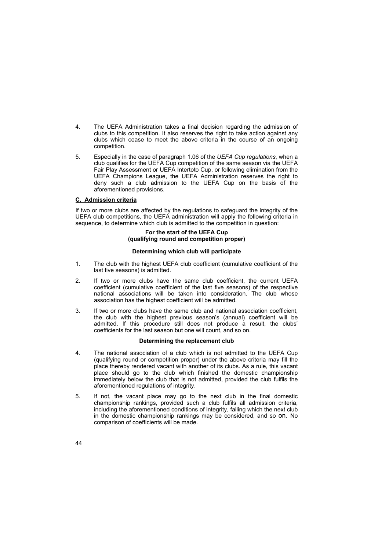- 4. The UEFA Administration takes a final decision regarding the admission of clubs to this competition. It also reserves the right to take action against any clubs which cease to meet the above criteria in the course of an ongoing competition.
- 5. Especially in the case of paragraph 1.06 of the *UEFA Cup regulations*, when a club qualifies for the UEFA Cup competition of the same season via the UEFA Fair Play Assessment or UEFA Intertoto Cup, or following elimination from the UEFA Champions League, the UEFA Administration reserves the right to deny such a club admission to the UEFA Cup on the basis of the aforementioned provisions.

# **C. Admission criteria**

If two or more clubs are affected by the regulations to safeguard the integrity of the UEFA club competitions, the UEFA administration will apply the following criteria in sequence, to determine which club is admitted to the competition in question:

# **For the start of the UEFA Cup (qualifying round and competition proper)**

### **Determining which club will participate**

- 1. The club with the highest UEFA club coefficient (cumulative coefficient of the last five seasons) is admitted.
- 2. If two or more clubs have the same club coefficient, the current UEFA coefficient (cumulative coefficient of the last five seasons) of the respective national associations will be taken into consideration. The club whose association has the highest coefficient will be admitted.
- 3. If two or more clubs have the same club and national association coefficient, the club with the highest previous season's (annual) coefficient will be admitted. If this procedure still does not produce a result, the clubs' coefficients for the last season but one will count, and so on.

# **Determining the replacement club**

- 4. The national association of a club which is not admitted to the UEFA Cup (qualifying round or competition proper) under the above criteria may fill the place thereby rendered vacant with another of its clubs. As a rule, this vacant place should go to the club which finished the domestic championship immediately below the club that is not admitted, provided the club fulfils the aforementioned regulations of integrity.
- 5. If not, the vacant place may go to the next club in the final domestic championship rankings, provided such a club fulfils all admission criteria, including the aforementioned conditions of integrity, failing which the next club in the domestic championship rankings may be considered, and so on. No comparison of coefficients will be made.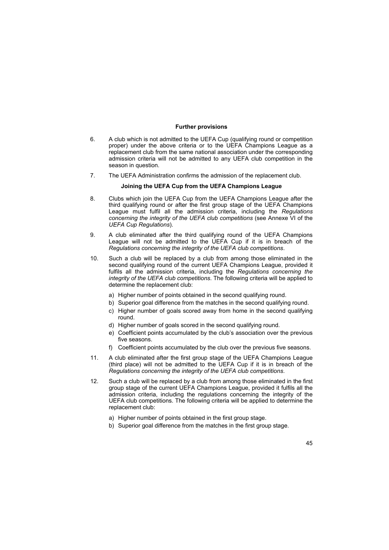# **Further provisions**

- 6. A club which is not admitted to the UEFA Cup (qualifying round or competition proper) under the above criteria or to the UEFA Champions League as a replacement club from the same national association under the corresponding admission criteria will not be admitted to any UEFA club competition in the season in question.
- 7. The UEFA Administration confirms the admission of the replacement club.

# **Joining the UEFA Cup from the UEFA Champions League**

- 8. Clubs which join the UEFA Cup from the UEFA Champions League after the third qualifying round or after the first group stage of the UEFA Champions League must fulfil all the admission criteria, including the *Regulations concerning the integrity of the UEFA club competitions* (see Annexe VI of the *UEFA Cup Regulations*).
- 9. A club eliminated after the third qualifying round of the UEFA Champions League will not be admitted to the UEFA Cup if it is in breach of the *Regulations concerning the integrity of the UEFA club competitions*.
- 10. Such a club will be replaced by a club from among those eliminated in the second qualifying round of the current UEFA Champions League, provided it fulfils all the admission criteria, including the *Regulations concerning the integrity of the UEFA club competitions*. The following criteria will be applied to determine the replacement club:
	- a) Higher number of points obtained in the second qualifying round.
	- b) Superior goal difference from the matches in the second qualifying round.
	- c) Higher number of goals scored away from home in the second qualifying round.
	- d) Higher number of goals scored in the second qualifying round.
	- e) Coefficient points accumulated by the club's association over the previous five seasons.
	- f) Coefficient points accumulated by the club over the previous five seasons.
- 11. A club eliminated after the first group stage of the UEFA Champions League (third place) will not be admitted to the UEFA Cup if it is in breach of the *Regulations concerning the integrity of the UEFA club competitions*.
- 12. Such a club will be replaced by a club from among those eliminated in the first group stage of the current UEFA Champions League, provided it fulfils all the admission criteria, including the regulations concerning the integrity of the UEFA club competitions. The following criteria will be applied to determine the replacement club:
	- a) Higher number of points obtained in the first group stage.
	- b) Superior goal difference from the matches in the first group stage.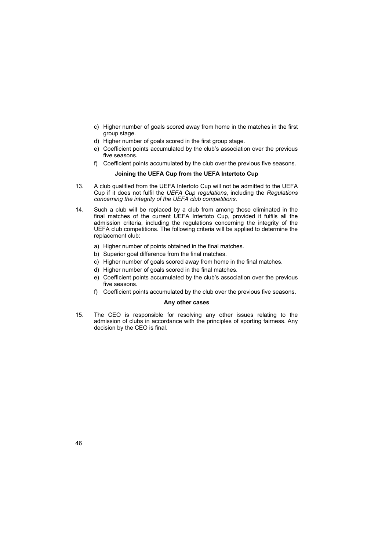- c) Higher number of goals scored away from home in the matches in the first group stage.
- d) Higher number of goals scored in the first group stage.
- e) Coefficient points accumulated by the club's association over the previous five seasons.
- f) Coefficient points accumulated by the club over the previous five seasons.

# **Joining the UEFA Cup from the UEFA Intertoto Cup**

- 13. A club qualified from the UEFA Intertoto Cup will not be admitted to the UEFA Cup if it does not fulfil the *UEFA Cup regulations*, including the *Regulations concerning the integrity of the UEFA club competitions*.
- 14. Such a club will be replaced by a club from among those eliminated in the final matches of the current UEFA Intertoto Cup, provided it fulfils all the admission criteria, including the regulations concerning the integrity of the UEFA club competitions. The following criteria will be applied to determine the replacement club:
	- a) Higher number of points obtained in the final matches.
	- b) Superior goal difference from the final matches.
	- c) Higher number of goals scored away from home in the final matches.
	- d) Higher number of goals scored in the final matches.
	- e) Coefficient points accumulated by the club's association over the previous five seasons.
	- f) Coefficient points accumulated by the club over the previous five seasons.

# **Any other cases**

15. The CEO is responsible for resolving any other issues relating to the admission of clubs in accordance with the principles of sporting fairness. Any decision by the CEO is final.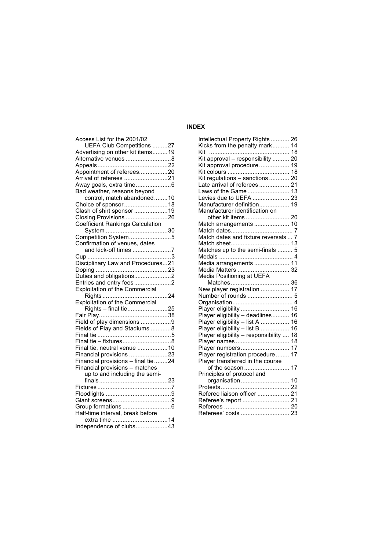# **INDEX**

| Access List for the 2001/02           |  |
|---------------------------------------|--|
| UEFA Club Competitions 27             |  |
| Advertising on other kit items19      |  |
| Alternative venues 8                  |  |
|                                       |  |
| Appointment of referees20             |  |
| Arrival of referees 21                |  |
|                                       |  |
| Bad weather, reasons beyond           |  |
| control, match abandoned10            |  |
| Choice of sponsor18                   |  |
| Clash of shirt sponsor 19             |  |
| Closing Provisions 26                 |  |
| Coefficient Rankings Calculation      |  |
|                                       |  |
| Competition System5                   |  |
| Confirmation of venues, dates         |  |
| and kick-off times 7                  |  |
|                                       |  |
| Disciplinary Law and Procedures21     |  |
|                                       |  |
| Duties and obligations2               |  |
| Entries and entry fees2               |  |
| <b>Exploitation of the Commercial</b> |  |
|                                       |  |
| Exploitation of the Commercial        |  |
| Rights - final tie25                  |  |
|                                       |  |
| Field of play dimensions 9            |  |
| Fields of Play and Stadiums 8         |  |
|                                       |  |
|                                       |  |
| Final tie, neutral venue 10           |  |
| Financial provisions 23               |  |
| Financial provisions - final tie 24   |  |
| Financial provisions - matches        |  |
| up to and including the semi-         |  |
|                                       |  |
|                                       |  |
|                                       |  |
|                                       |  |
|                                       |  |
| Half-time interval, break before      |  |
| extra time 14                         |  |
| Independence of clubs43               |  |
|                                       |  |

| Match dates and fixture reversals  7<br>Matches up to the semi-finals  5<br>Media arrangements  11 |
|----------------------------------------------------------------------------------------------------|
| Media Matters  32<br>Media Positioning at UEFA                                                     |
|                                                                                                    |
| New player registration  17                                                                        |
| Number of rounds  5                                                                                |
|                                                                                                    |
| Player eligibility  16<br>Player eligibility - deadlines 16                                        |
| Player eligibility - list A  16                                                                    |
|                                                                                                    |
| Player eligibility – list B  16<br>Player eligibility – responsibility  18                         |
| Player names<br>18                                                                                 |
| Player numbers<br>17                                                                               |
| Player registration procedure<br>17                                                                |
| Player transferred in the course                                                                   |
|                                                                                                    |
| Principles of protocol and                                                                         |
| organisation 10                                                                                    |
|                                                                                                    |
| Referee liaison officer  21                                                                        |
|                                                                                                    |
|                                                                                                    |
|                                                                                                    |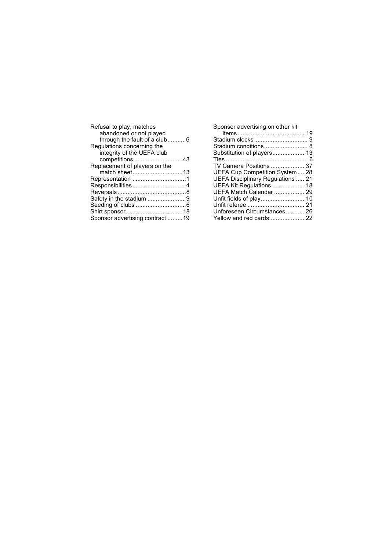| Refusal to play, matches        |  |
|---------------------------------|--|
| abandoned or not played         |  |
| through the fault of a club6    |  |
| Regulations concerning the      |  |
| integrity of the UEFA club      |  |
| competitions 43                 |  |
| Replacement of players on the   |  |
| match sheet13                   |  |
|                                 |  |
| Responsibilities4               |  |
|                                 |  |
| Safety in the stadium 9         |  |
|                                 |  |
|                                 |  |
| Sponsor advertising contract 19 |  |

Sponsor advertising on other kit items........................................ 19 Stadium clocks................................ 9 Stadium conditions.......................... 8 Substitution of players................... 13 Ties ................................................. 6 TV Camera Positions .................... 37 UEFA Cup Competition System.... 28 UEFA Disciplinary Regulations ..... 21 UEFA Kit Regulations ................... 18 UEFA Match Calendar .................. 29 Unfit fields of play.......................... 10 Unfit referee .................................. 21 Unforeseen Circumstances........... 26 Yellow and red cards..................... 22